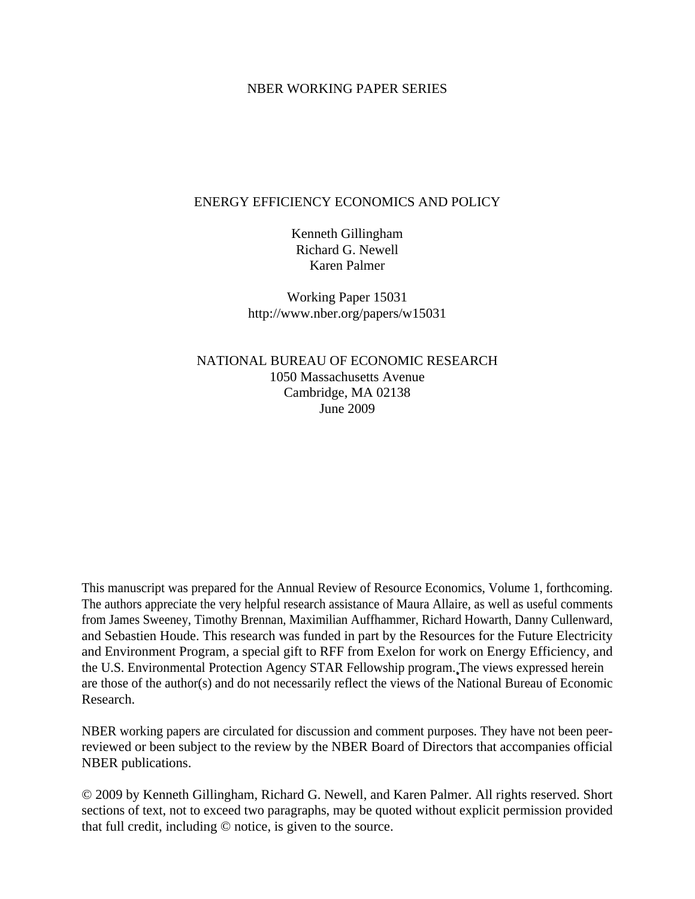### NBER WORKING PAPER SERIES

# ENERGY EFFICIENCY ECONOMICS AND POLICY

Kenneth Gillingham Richard G. Newell Karen Palmer

Working Paper 15031 http://www.nber.org/papers/w15031

NATIONAL BUREAU OF ECONOMIC RESEARCH 1050 Massachusetts Avenue Cambridge, MA 02138 June 2009

This manuscript was prepared for the Annual Review of Resource Economics, Volume 1, forthcoming. The authors appreciate the very helpful research assistance of Maura Allaire, as well as useful comments from James Sweeney, Timothy Brennan, Maximilian Auffhammer, Richard Howarth, Danny Cullenward, and Sebastien Houde. This research was funded in part by the Resources for the Future Electricity and Environment Program, a special gift to RFF from Exelon for work on Energy Efficiency, and the U.S. Environmental Protection Agency STAR Fellowship program. The views expressed herein are those of the author(s) and do not necessarily reflect the views of the National Bureau of Economic Research.

NBER working papers are circulated for discussion and comment purposes. They have not been peerreviewed or been subject to the review by the NBER Board of Directors that accompanies official NBER publications.

© 2009 by Kenneth Gillingham, Richard G. Newell, and Karen Palmer. All rights reserved. Short sections of text, not to exceed two paragraphs, may be quoted without explicit permission provided that full credit, including © notice, is given to the source.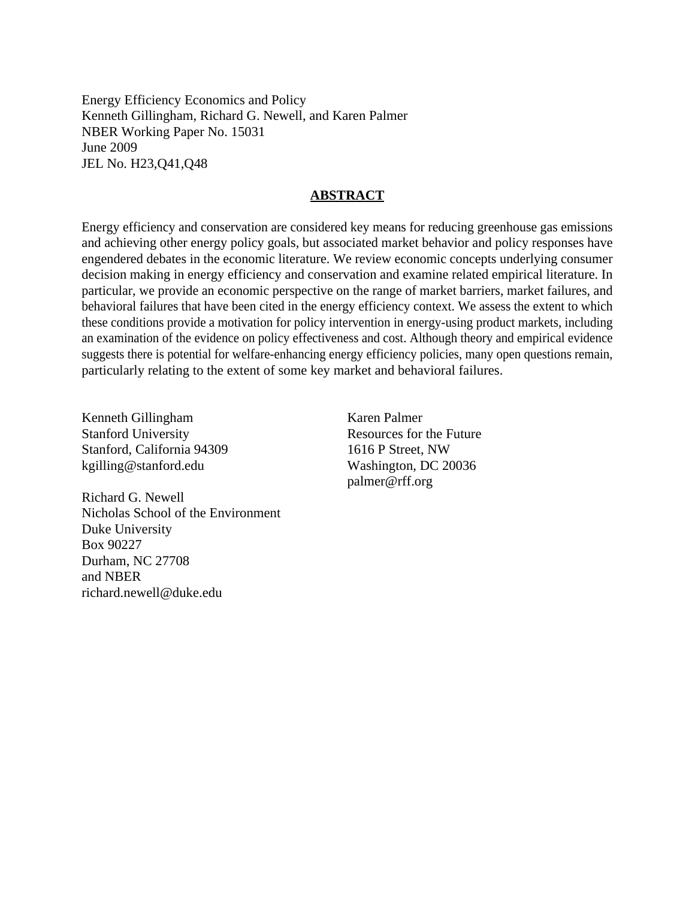Energy Efficiency Economics and Policy Kenneth Gillingham, Richard G. Newell, and Karen Palmer NBER Working Paper No. 15031 June 2009 JEL No. H23,Q41,Q48

# **ABSTRACT**

Energy efficiency and conservation are considered key means for reducing greenhouse gas emissions and achieving other energy policy goals, but associated market behavior and policy responses have engendered debates in the economic literature. We review economic concepts underlying consumer decision making in energy efficiency and conservation and examine related empirical literature. In particular, we provide an economic perspective on the range of market barriers, market failures, and behavioral failures that have been cited in the energy efficiency context. We assess the extent to which these conditions provide a motivation for policy intervention in energy-using product markets, including an examination of the evidence on policy effectiveness and cost. Although theory and empirical evidence suggests there is potential for welfare-enhancing energy efficiency policies, many open questions remain, particularly relating to the extent of some key market and behavioral failures.

Kenneth Gillingham Stanford University Stanford, California 94309 kgilling@stanford.edu

Richard G. Newell Nicholas School of the Environment Duke University Box 90227 Durham, NC 27708 and NBER richard.newell@duke.edu

Karen Palmer Resources for the Future 1616 P Street, NW Washington, DC 20036 palmer@rff.org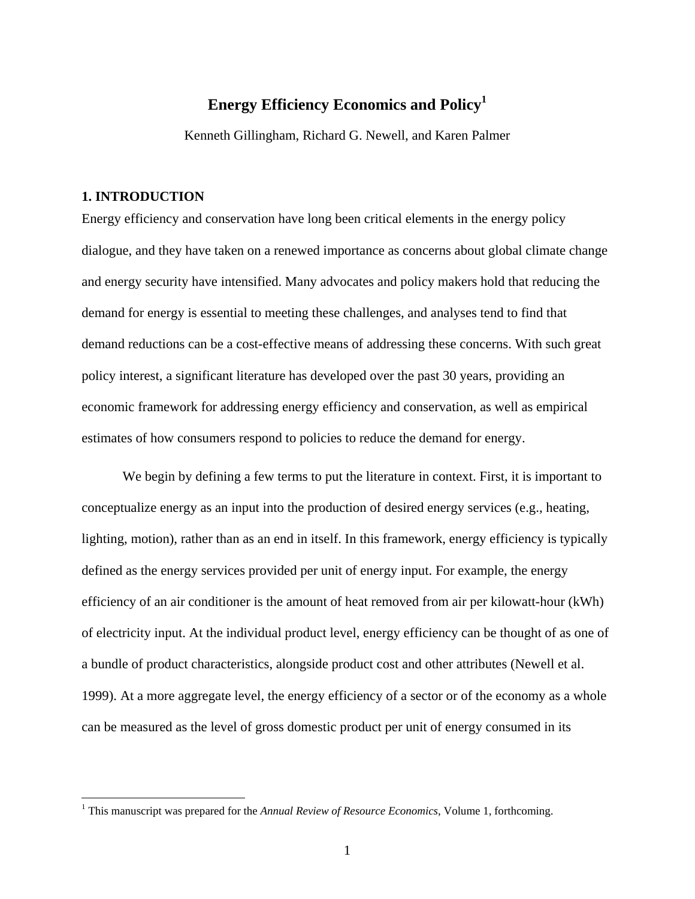# **Energy Efficiency Economics and Policy1**

Kenneth Gillingham, Richard G. Newell, and Karen Palmer

# **1. INTRODUCTION**

<u>.</u>

Energy efficiency and conservation have long been critical elements in the energy policy dialogue, and they have taken on a renewed importance as concerns about global climate change and energy security have intensified. Many advocates and policy makers hold that reducing the demand for energy is essential to meeting these challenges, and analyses tend to find that demand reductions can be a cost-effective means of addressing these concerns. With such great policy interest, a significant literature has developed over the past 30 years, providing an economic framework for addressing energy efficiency and conservation, as well as empirical estimates of how consumers respond to policies to reduce the demand for energy.

We begin by defining a few terms to put the literature in context. First, it is important to conceptualize energy as an input into the production of desired energy services (e.g., heating, lighting, motion), rather than as an end in itself. In this framework, energy efficiency is typically defined as the energy services provided per unit of energy input. For example, the energy efficiency of an air conditioner is the amount of heat removed from air per kilowatt-hour (kWh) of electricity input. At the individual product level, energy efficiency can be thought of as one of a bundle of product characteristics, alongside product cost and other attributes (Newell et al. 1999). At a more aggregate level, the energy efficiency of a sector or of the economy as a whole can be measured as the level of gross domestic product per unit of energy consumed in its

<sup>&</sup>lt;sup>1</sup> This manuscript was prepared for the *Annual Review of Resource Economics*, Volume 1, forthcoming.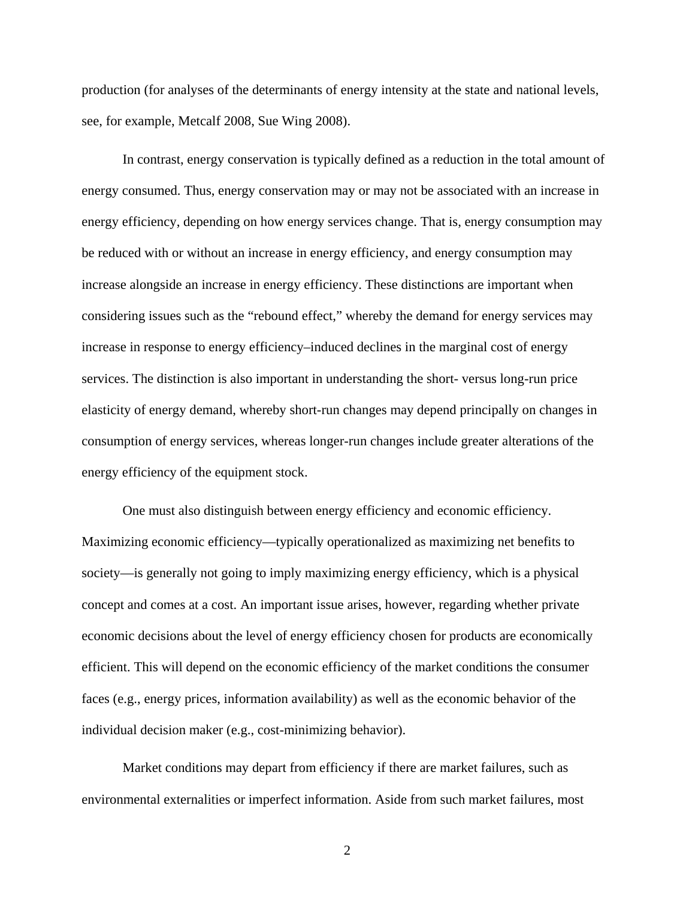production (for analyses of the determinants of energy intensity at the state and national levels, see, for example, Metcalf 2008, Sue Wing 2008).

In contrast, energy conservation is typically defined as a reduction in the total amount of energy consumed. Thus, energy conservation may or may not be associated with an increase in energy efficiency, depending on how energy services change. That is, energy consumption may be reduced with or without an increase in energy efficiency, and energy consumption may increase alongside an increase in energy efficiency. These distinctions are important when considering issues such as the "rebound effect," whereby the demand for energy services may increase in response to energy efficiency–induced declines in the marginal cost of energy services. The distinction is also important in understanding the short- versus long-run price elasticity of energy demand, whereby short-run changes may depend principally on changes in consumption of energy services, whereas longer-run changes include greater alterations of the energy efficiency of the equipment stock.

One must also distinguish between energy efficiency and economic efficiency. Maximizing economic efficiency—typically operationalized as maximizing net benefits to society—is generally not going to imply maximizing energy efficiency, which is a physical concept and comes at a cost. An important issue arises, however, regarding whether private economic decisions about the level of energy efficiency chosen for products are economically efficient. This will depend on the economic efficiency of the market conditions the consumer faces (e.g., energy prices, information availability) as well as the economic behavior of the individual decision maker (e.g., cost-minimizing behavior).

Market conditions may depart from efficiency if there are market failures, such as environmental externalities or imperfect information. Aside from such market failures, most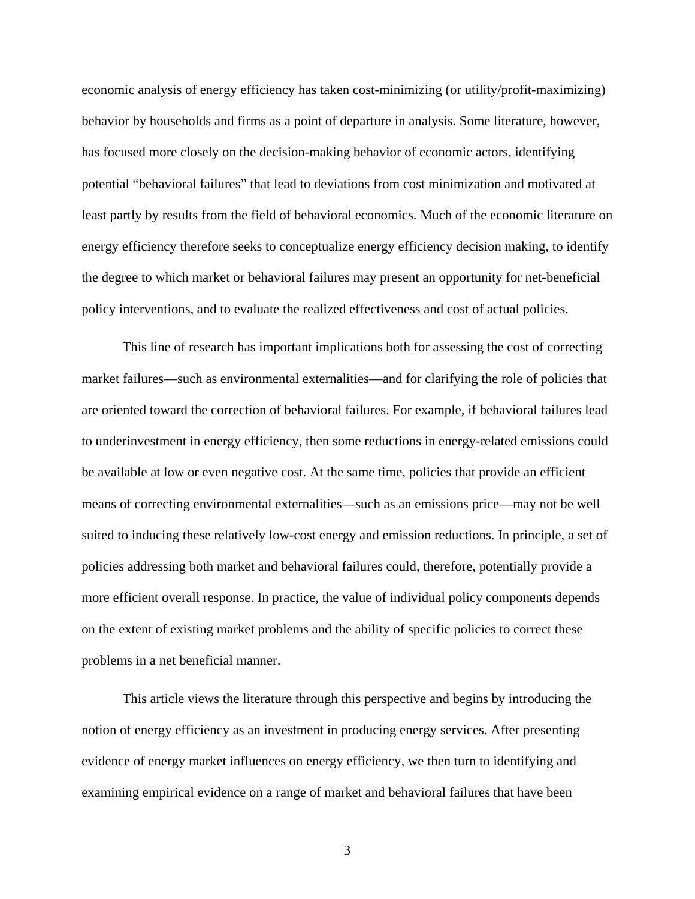economic analysis of energy efficiency has taken cost-minimizing (or utility/profit-maximizing) behavior by households and firms as a point of departure in analysis. Some literature, however, has focused more closely on the decision-making behavior of economic actors, identifying potential "behavioral failures" that lead to deviations from cost minimization and motivated at least partly by results from the field of behavioral economics. Much of the economic literature on energy efficiency therefore seeks to conceptualize energy efficiency decision making, to identify the degree to which market or behavioral failures may present an opportunity for net-beneficial policy interventions, and to evaluate the realized effectiveness and cost of actual policies.

This line of research has important implications both for assessing the cost of correcting market failures—such as environmental externalities—and for clarifying the role of policies that are oriented toward the correction of behavioral failures. For example, if behavioral failures lead to underinvestment in energy efficiency, then some reductions in energy-related emissions could be available at low or even negative cost. At the same time, policies that provide an efficient means of correcting environmental externalities—such as an emissions price—may not be well suited to inducing these relatively low-cost energy and emission reductions. In principle, a set of policies addressing both market and behavioral failures could, therefore, potentially provide a more efficient overall response. In practice, the value of individual policy components depends on the extent of existing market problems and the ability of specific policies to correct these problems in a net beneficial manner.

This article views the literature through this perspective and begins by introducing the notion of energy efficiency as an investment in producing energy services. After presenting evidence of energy market influences on energy efficiency, we then turn to identifying and examining empirical evidence on a range of market and behavioral failures that have been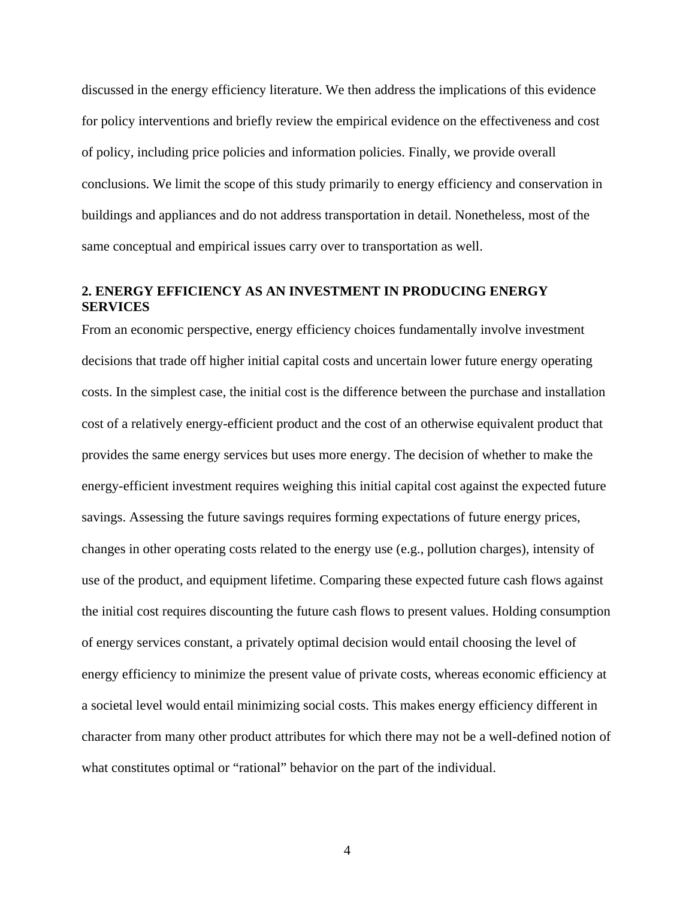discussed in the energy efficiency literature. We then address the implications of this evidence for policy interventions and briefly review the empirical evidence on the effectiveness and cost of policy, including price policies and information policies. Finally, we provide overall conclusions. We limit the scope of this study primarily to energy efficiency and conservation in buildings and appliances and do not address transportation in detail. Nonetheless, most of the same conceptual and empirical issues carry over to transportation as well.

# **2. ENERGY EFFICIENCY AS AN INVESTMENT IN PRODUCING ENERGY SERVICES**

From an economic perspective, energy efficiency choices fundamentally involve investment decisions that trade off higher initial capital costs and uncertain lower future energy operating costs. In the simplest case, the initial cost is the difference between the purchase and installation cost of a relatively energy-efficient product and the cost of an otherwise equivalent product that provides the same energy services but uses more energy. The decision of whether to make the energy-efficient investment requires weighing this initial capital cost against the expected future savings. Assessing the future savings requires forming expectations of future energy prices, changes in other operating costs related to the energy use (e.g., pollution charges), intensity of use of the product, and equipment lifetime. Comparing these expected future cash flows against the initial cost requires discounting the future cash flows to present values. Holding consumption of energy services constant, a privately optimal decision would entail choosing the level of energy efficiency to minimize the present value of private costs, whereas economic efficiency at a societal level would entail minimizing social costs. This makes energy efficiency different in character from many other product attributes for which there may not be a well-defined notion of what constitutes optimal or "rational" behavior on the part of the individual.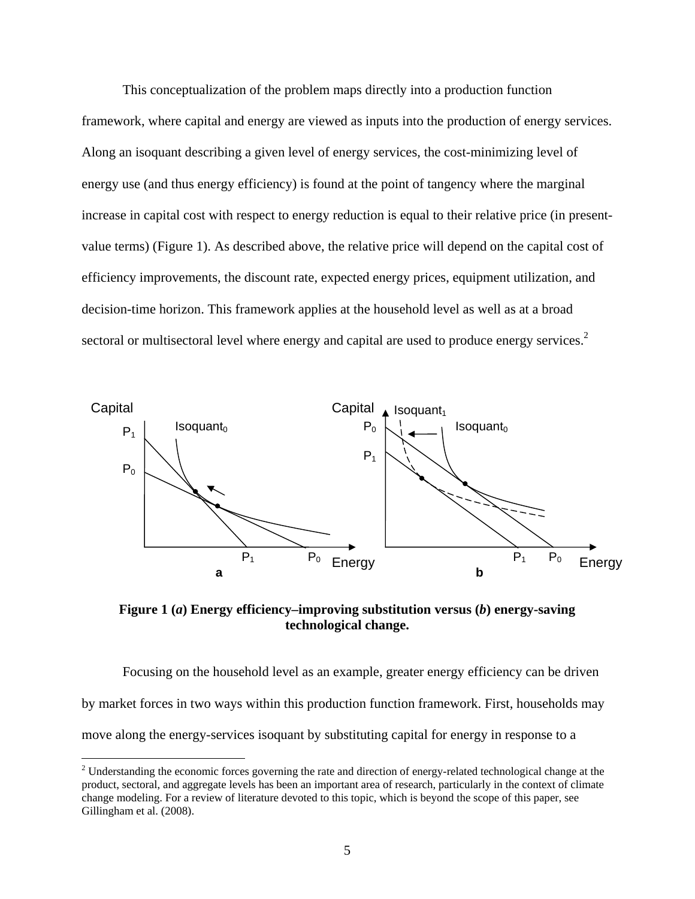This conceptualization of the problem maps directly into a production function framework, where capital and energy are viewed as inputs into the production of energy services. Along an isoquant describing a given level of energy services, the cost-minimizing level of energy use (and thus energy efficiency) is found at the point of tangency where the marginal increase in capital cost with respect to energy reduction is equal to their relative price (in presentvalue terms) (Figure 1). As described above, the relative price will depend on the capital cost of efficiency improvements, the discount rate, expected energy prices, equipment utilization, and decision-time horizon. This framework applies at the household level as well as at a broad sectoral or multisectoral level where energy and capital are used to produce energy services.<sup>2</sup>



**Figure 1 (***a***) Energy efficiency–improving substitution versus (***b***) energy-saving technological change.** 

Focusing on the household level as an example, greater energy efficiency can be driven by market forces in two ways within this production function framework. First, households may move along the energy-services isoquant by substituting capital for energy in response to a

<u>.</u>

 $2^2$  Understanding the economic forces governing the rate and direction of energy-related technological change at the product, sectoral, and aggregate levels has been an important area of research, particularly in the context of climate change modeling. For a review of literature devoted to this topic, which is beyond the scope of this paper, see Gillingham et al. (2008).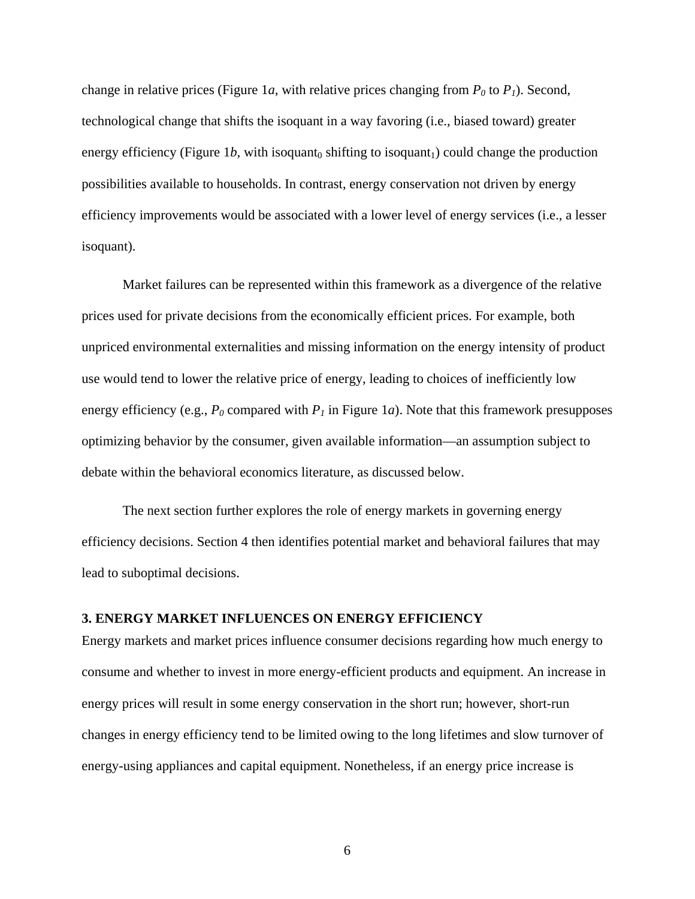change in relative prices (Figure 1*a*, with relative prices changing from  $P_0$  to  $P_1$ ). Second, technological change that shifts the isoquant in a way favoring (i.e., biased toward) greater energy efficiency (Figure 1*b*, with isoquant<sub>0</sub> shifting to isoquant<sub>1</sub>) could change the production possibilities available to households. In contrast, energy conservation not driven by energy efficiency improvements would be associated with a lower level of energy services (i.e., a lesser isoquant).

Market failures can be represented within this framework as a divergence of the relative prices used for private decisions from the economically efficient prices. For example, both unpriced environmental externalities and missing information on the energy intensity of product use would tend to lower the relative price of energy, leading to choices of inefficiently low energy efficiency (e.g.,  $P_0$  compared with  $P_1$  in Figure 1*a*). Note that this framework presupposes optimizing behavior by the consumer, given available information—an assumption subject to debate within the behavioral economics literature, as discussed below.

The next section further explores the role of energy markets in governing energy efficiency decisions. Section 4 then identifies potential market and behavioral failures that may lead to suboptimal decisions.

# **3. ENERGY MARKET INFLUENCES ON ENERGY EFFICIENCY**

Energy markets and market prices influence consumer decisions regarding how much energy to consume and whether to invest in more energy-efficient products and equipment. An increase in energy prices will result in some energy conservation in the short run; however, short-run changes in energy efficiency tend to be limited owing to the long lifetimes and slow turnover of energy-using appliances and capital equipment. Nonetheless, if an energy price increase is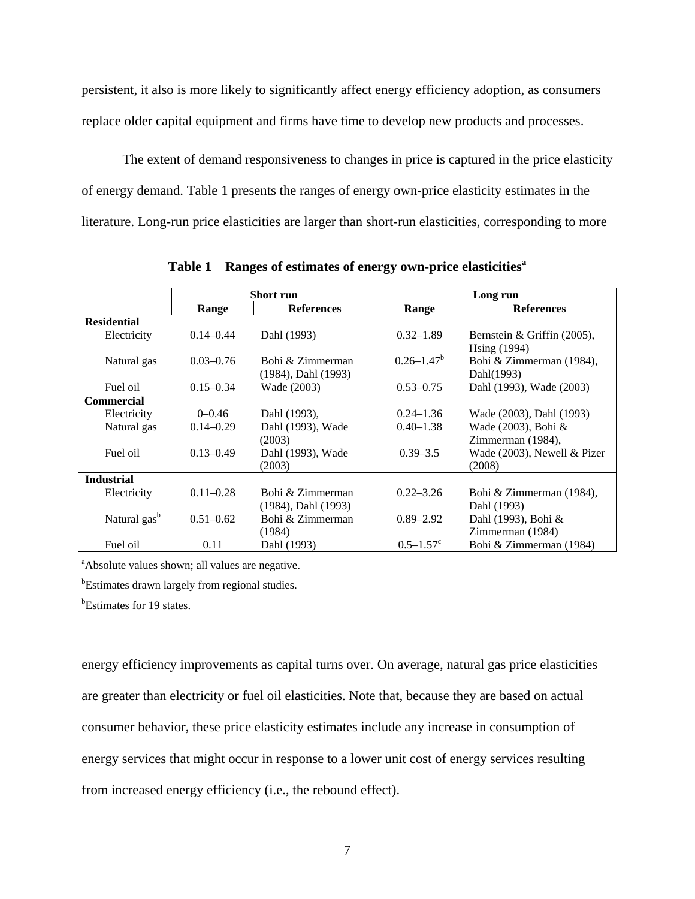persistent, it also is more likely to significantly affect energy efficiency adoption, as consumers replace older capital equipment and firms have time to develop new products and processes.

The extent of demand responsiveness to changes in price is captured in the price elasticity of energy demand. Table 1 presents the ranges of energy own-price elasticity estimates in the literature. Long-run price elasticities are larger than short-run elasticities, corresponding to more

|                          | Short run     |                                              | Long run                  |                                             |
|--------------------------|---------------|----------------------------------------------|---------------------------|---------------------------------------------|
|                          | Range         | <b>References</b>                            | Range                     | <b>References</b>                           |
| <b>Residential</b>       |               |                                              |                           |                                             |
| Electricity              | $0.14 - 0.44$ | Dahl (1993)                                  | $0.32 - 1.89$             | Bernstein & Griffin (2005),<br>Hsing (1994) |
| Natural gas              | $0.03 - 0.76$ | Bohi & Zimmerman<br>(1984), Dahl (1993)      | $0.26 - 1.47^b$           | Bohi & Zimmerman (1984),<br>Dahl(1993)      |
| Fuel oil                 | $0.15 - 0.34$ | Wade (2003)                                  | $0.53 - 0.75$             | Dahl (1993), Wade (2003)                    |
| <b>Commercial</b>        |               |                                              |                           |                                             |
| Electricity              | $0 - 0.46$    | Dahl (1993),                                 | $0.24 - 1.36$             | Wade (2003), Dahl (1993)                    |
| Natural gas              | $0.14 - 0.29$ | Dahl (1993), Wade                            | $0.40 - 1.38$             | Wade (2003), Bohi &                         |
|                          |               | (2003)                                       |                           | Zimmerman (1984),                           |
| Fuel oil                 | $0.13 - 0.49$ | Dahl (1993), Wade<br>(2003)                  | $0.39 - 3.5$              | Wade (2003), Newell & Pizer<br>(2008)       |
| <b>Industrial</b>        |               |                                              |                           |                                             |
| Electricity              | $0.11 - 0.28$ | Bohi & Zimmerman<br>$(1984)$ , Dahl $(1993)$ | $0.22 - 3.26$             | Bohi & Zimmerman (1984),<br>Dahl (1993)     |
| Natural gas <sup>b</sup> | $0.51 - 0.62$ | Bohi & Zimmerman<br>(1984)                   | $0.89 - 2.92$             | Dahl (1993), Bohi &<br>Zimmerman (1984)     |
| Fuel oil                 | 0.11          | Dahl (1993)                                  | $0.5 - 1.57$ <sup>c</sup> | Bohi & Zimmerman (1984)                     |

Table 1 Ranges of estimates of energy own-price elasticities<sup>a</sup>

<sup>a</sup>Absolute values shown; all values are negative.

<sup>b</sup>Estimates drawn largely from regional studies.

<sup>b</sup>Estimates for 19 states.

energy efficiency improvements as capital turns over. On average, natural gas price elasticities are greater than electricity or fuel oil elasticities. Note that, because they are based on actual consumer behavior, these price elasticity estimates include any increase in consumption of energy services that might occur in response to a lower unit cost of energy services resulting from increased energy efficiency (i.e., the rebound effect).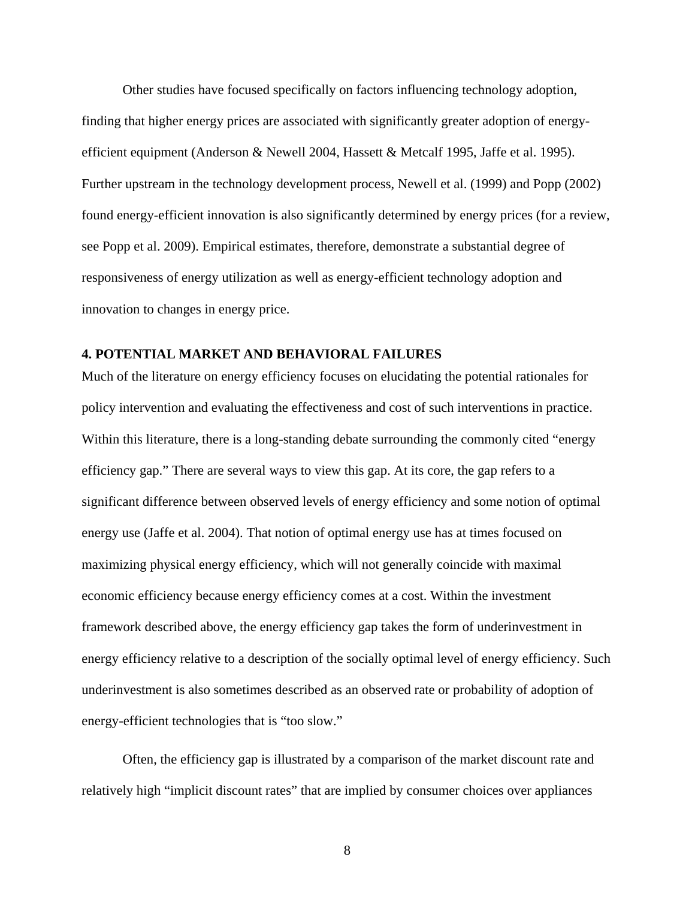Other studies have focused specifically on factors influencing technology adoption, finding that higher energy prices are associated with significantly greater adoption of energyefficient equipment (Anderson & Newell 2004, Hassett & Metcalf 1995, Jaffe et al. 1995). Further upstream in the technology development process, Newell et al. (1999) and Popp (2002) found energy-efficient innovation is also significantly determined by energy prices (for a review, see Popp et al. 2009). Empirical estimates, therefore, demonstrate a substantial degree of responsiveness of energy utilization as well as energy-efficient technology adoption and innovation to changes in energy price.

# **4. POTENTIAL MARKET AND BEHAVIORAL FAILURES**

Much of the literature on energy efficiency focuses on elucidating the potential rationales for policy intervention and evaluating the effectiveness and cost of such interventions in practice. Within this literature, there is a long-standing debate surrounding the commonly cited "energy efficiency gap." There are several ways to view this gap. At its core, the gap refers to a significant difference between observed levels of energy efficiency and some notion of optimal energy use (Jaffe et al. 2004). That notion of optimal energy use has at times focused on maximizing physical energy efficiency, which will not generally coincide with maximal economic efficiency because energy efficiency comes at a cost. Within the investment framework described above, the energy efficiency gap takes the form of underinvestment in energy efficiency relative to a description of the socially optimal level of energy efficiency. Such underinvestment is also sometimes described as an observed rate or probability of adoption of energy-efficient technologies that is "too slow."

Often, the efficiency gap is illustrated by a comparison of the market discount rate and relatively high "implicit discount rates" that are implied by consumer choices over appliances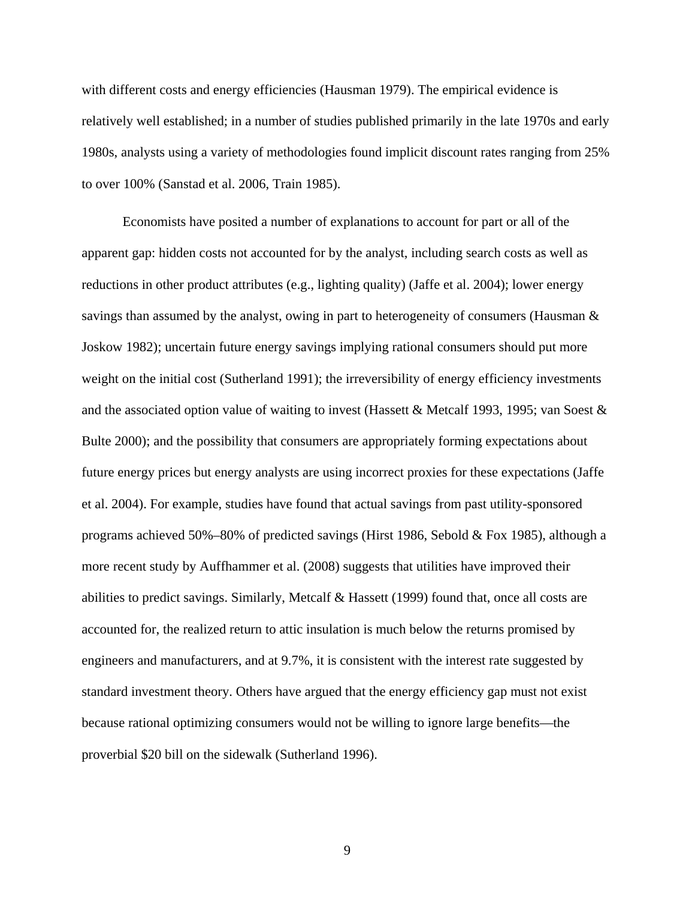with different costs and energy efficiencies (Hausman 1979). The empirical evidence is relatively well established; in a number of studies published primarily in the late 1970s and early 1980s, analysts using a variety of methodologies found implicit discount rates ranging from 25% to over 100% (Sanstad et al. 2006, Train 1985).

Economists have posited a number of explanations to account for part or all of the apparent gap: hidden costs not accounted for by the analyst, including search costs as well as reductions in other product attributes (e.g., lighting quality) (Jaffe et al. 2004); lower energy savings than assumed by the analyst, owing in part to heterogeneity of consumers (Hausman & Joskow 1982); uncertain future energy savings implying rational consumers should put more weight on the initial cost (Sutherland 1991); the irreversibility of energy efficiency investments and the associated option value of waiting to invest (Hassett & Metcalf 1993, 1995; van Soest & Bulte 2000); and the possibility that consumers are appropriately forming expectations about future energy prices but energy analysts are using incorrect proxies for these expectations (Jaffe et al. 2004). For example, studies have found that actual savings from past utility-sponsored programs achieved 50%–80% of predicted savings (Hirst 1986, Sebold & Fox 1985), although a more recent study by Auffhammer et al. (2008) suggests that utilities have improved their abilities to predict savings. Similarly, Metcalf & Hassett (1999) found that, once all costs are accounted for, the realized return to attic insulation is much below the returns promised by engineers and manufacturers, and at 9.7%, it is consistent with the interest rate suggested by standard investment theory. Others have argued that the energy efficiency gap must not exist because rational optimizing consumers would not be willing to ignore large benefits—the proverbial \$20 bill on the sidewalk (Sutherland 1996).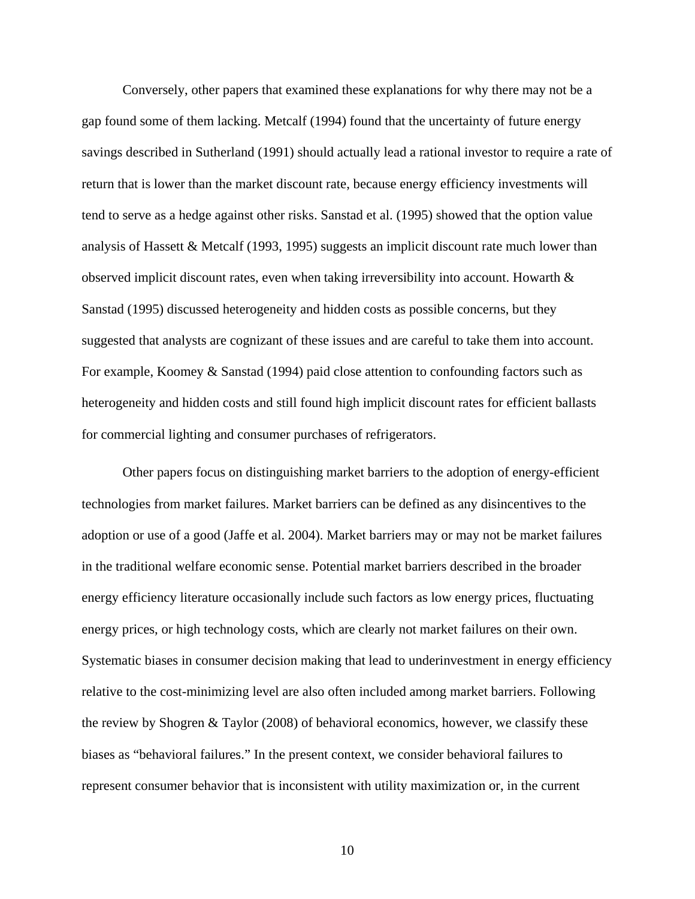Conversely, other papers that examined these explanations for why there may not be a gap found some of them lacking. Metcalf (1994) found that the uncertainty of future energy savings described in Sutherland (1991) should actually lead a rational investor to require a rate of return that is lower than the market discount rate, because energy efficiency investments will tend to serve as a hedge against other risks. Sanstad et al. (1995) showed that the option value analysis of Hassett & Metcalf (1993, 1995) suggests an implicit discount rate much lower than observed implicit discount rates, even when taking irreversibility into account. Howarth & Sanstad (1995) discussed heterogeneity and hidden costs as possible concerns, but they suggested that analysts are cognizant of these issues and are careful to take them into account. For example, Koomey & Sanstad (1994) paid close attention to confounding factors such as heterogeneity and hidden costs and still found high implicit discount rates for efficient ballasts for commercial lighting and consumer purchases of refrigerators.

Other papers focus on distinguishing market barriers to the adoption of energy-efficient technologies from market failures. Market barriers can be defined as any disincentives to the adoption or use of a good (Jaffe et al. 2004). Market barriers may or may not be market failures in the traditional welfare economic sense. Potential market barriers described in the broader energy efficiency literature occasionally include such factors as low energy prices, fluctuating energy prices, or high technology costs, which are clearly not market failures on their own. Systematic biases in consumer decision making that lead to underinvestment in energy efficiency relative to the cost-minimizing level are also often included among market barriers. Following the review by Shogren & Taylor (2008) of behavioral economics, however, we classify these biases as "behavioral failures." In the present context, we consider behavioral failures to represent consumer behavior that is inconsistent with utility maximization or, in the current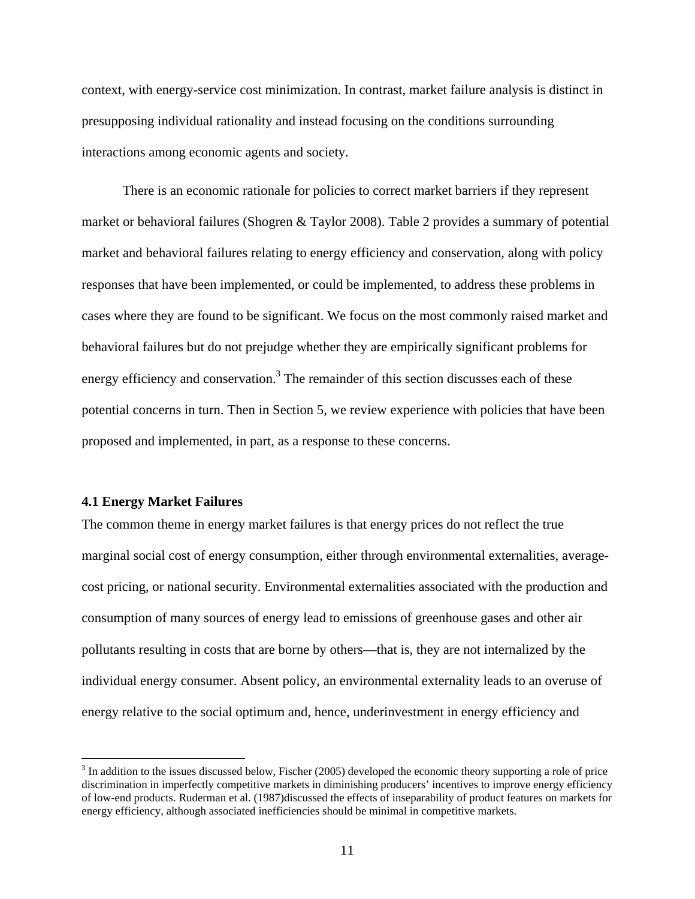context, with energy-service cost minimization. In contrast, market failure analysis is distinct in presupposing individual rationality and instead focusing on the conditions surrounding interactions among economic agents and society.

There is an economic rationale for policies to correct market barriers if they represent market or behavioral failures (Shogren & Taylor 2008). Table 2 provides a summary of potential market and behavioral failures relating to energy efficiency and conservation, along with policy responses that have been implemented, or could be implemented, to address these problems in cases where they are found to be significant. We focus on the most commonly raised market and behavioral failures but do not prejudge whether they are empirically significant problems for energy efficiency and conservation.<sup>3</sup> The remainder of this section discusses each of these potential concerns in turn. Then in Section 5, we review experience with policies that have been proposed and implemented, in part, as a response to these concerns.

### **4.1 Energy Market Failures**

 $\overline{a}$ 

The common theme in energy market failures is that energy prices do not reflect the true marginal social cost of energy consumption, either through environmental externalities, averagecost pricing, or national security. Environmental externalities associated with the production and consumption of many sources of energy lead to emissions of greenhouse gases and other air pollutants resulting in costs that are borne by others—that is, they are not internalized by the individual energy consumer. Absent policy, an environmental externality leads to an overuse of energy relative to the social optimum and, hence, underinvestment in energy efficiency and

 $3 \text{ In addition to the issues discussed below, Fischer (2005) developed the economic theory supporting a role of price.}$ discrimination in imperfectly competitive markets in diminishing producers' incentives to improve energy efficiency of low-end products. Ruderman et al. (1987)discussed the effects of inseparability of product features on markets for energy efficiency, although associated inefficiencies should be minimal in competitive markets.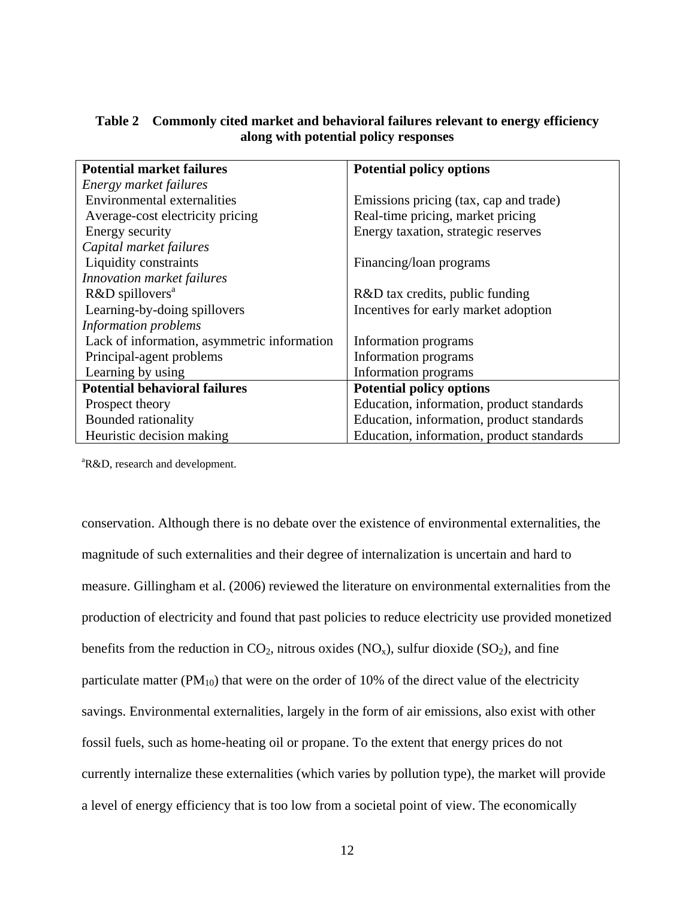| <b>Potential market failures</b>            | <b>Potential policy options</b>           |  |  |
|---------------------------------------------|-------------------------------------------|--|--|
| Energy market failures                      |                                           |  |  |
| <b>Environmental externalities</b>          | Emissions pricing (tax, cap and trade)    |  |  |
| Average-cost electricity pricing            | Real-time pricing, market pricing         |  |  |
| Energy security                             | Energy taxation, strategic reserves       |  |  |
| Capital market failures                     |                                           |  |  |
| Liquidity constraints                       | Financing/loan programs                   |  |  |
| Innovation market failures                  |                                           |  |  |
| R&D spillovers <sup>a</sup>                 | R&D tax credits, public funding           |  |  |
| Learning-by-doing spillovers                | Incentives for early market adoption      |  |  |
| Information problems                        |                                           |  |  |
| Lack of information, asymmetric information | Information programs                      |  |  |
| Principal-agent problems                    | Information programs                      |  |  |
| Learning by using                           | Information programs                      |  |  |
| <b>Potential behavioral failures</b>        | <b>Potential policy options</b>           |  |  |
| Prospect theory                             | Education, information, product standards |  |  |
| Bounded rationality                         | Education, information, product standards |  |  |
| Heuristic decision making                   | Education, information, product standards |  |  |

# **Table 2 Commonly cited market and behavioral failures relevant to energy efficiency along with potential policy responses**

<sup>a</sup>R&D, research and development.

conservation. Although there is no debate over the existence of environmental externalities, the magnitude of such externalities and their degree of internalization is uncertain and hard to measure. Gillingham et al. (2006) reviewed the literature on environmental externalities from the production of electricity and found that past policies to reduce electricity use provided monetized benefits from the reduction in  $CO_2$ , nitrous oxides (NO<sub>x</sub>), sulfur dioxide (SO<sub>2</sub>), and fine particulate matter ( $PM_{10}$ ) that were on the order of 10% of the direct value of the electricity savings. Environmental externalities, largely in the form of air emissions, also exist with other fossil fuels, such as home-heating oil or propane. To the extent that energy prices do not currently internalize these externalities (which varies by pollution type), the market will provide a level of energy efficiency that is too low from a societal point of view. The economically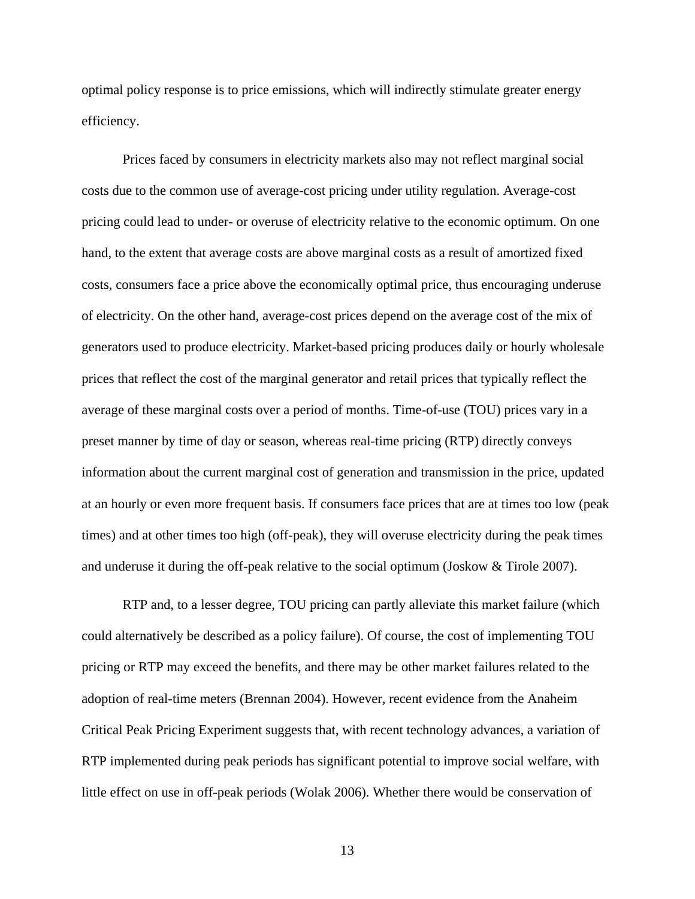optimal policy response is to price emissions, which will indirectly stimulate greater energy efficiency.

Prices faced by consumers in electricity markets also may not reflect marginal social costs due to the common use of average-cost pricing under utility regulation. Average-cost pricing could lead to under- or overuse of electricity relative to the economic optimum. On one hand, to the extent that average costs are above marginal costs as a result of amortized fixed costs, consumers face a price above the economically optimal price, thus encouraging underuse of electricity. On the other hand, average-cost prices depend on the average cost of the mix of generators used to produce electricity. Market-based pricing produces daily or hourly wholesale prices that reflect the cost of the marginal generator and retail prices that typically reflect the average of these marginal costs over a period of months. Time-of-use (TOU) prices vary in a preset manner by time of day or season, whereas real-time pricing (RTP) directly conveys information about the current marginal cost of generation and transmission in the price, updated at an hourly or even more frequent basis. If consumers face prices that are at times too low (peak times) and at other times too high (off-peak), they will overuse electricity during the peak times and underuse it during the off-peak relative to the social optimum (Joskow & Tirole 2007).

RTP and, to a lesser degree, TOU pricing can partly alleviate this market failure (which could alternatively be described as a policy failure). Of course, the cost of implementing TOU pricing or RTP may exceed the benefits, and there may be other market failures related to the adoption of real-time meters (Brennan 2004). However, recent evidence from the Anaheim Critical Peak Pricing Experiment suggests that, with recent technology advances, a variation of RTP implemented during peak periods has significant potential to improve social welfare, with little effect on use in off-peak periods (Wolak 2006). Whether there would be conservation of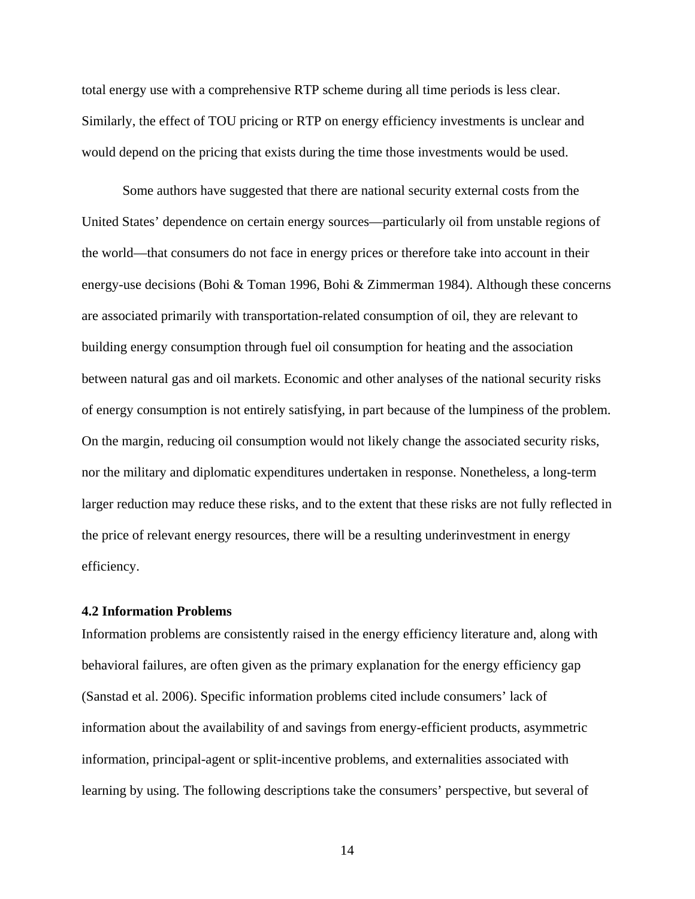total energy use with a comprehensive RTP scheme during all time periods is less clear. Similarly, the effect of TOU pricing or RTP on energy efficiency investments is unclear and would depend on the pricing that exists during the time those investments would be used.

Some authors have suggested that there are national security external costs from the United States' dependence on certain energy sources—particularly oil from unstable regions of the world—that consumers do not face in energy prices or therefore take into account in their energy-use decisions (Bohi & Toman 1996, Bohi & Zimmerman 1984). Although these concerns are associated primarily with transportation-related consumption of oil, they are relevant to building energy consumption through fuel oil consumption for heating and the association between natural gas and oil markets. Economic and other analyses of the national security risks of energy consumption is not entirely satisfying, in part because of the lumpiness of the problem. On the margin, reducing oil consumption would not likely change the associated security risks, nor the military and diplomatic expenditures undertaken in response. Nonetheless, a long-term larger reduction may reduce these risks, and to the extent that these risks are not fully reflected in the price of relevant energy resources, there will be a resulting underinvestment in energy efficiency.

# **4.2 Information Problems**

Information problems are consistently raised in the energy efficiency literature and, along with behavioral failures, are often given as the primary explanation for the energy efficiency gap (Sanstad et al. 2006). Specific information problems cited include consumers' lack of information about the availability of and savings from energy-efficient products, asymmetric information, principal-agent or split-incentive problems, and externalities associated with learning by using. The following descriptions take the consumers' perspective, but several of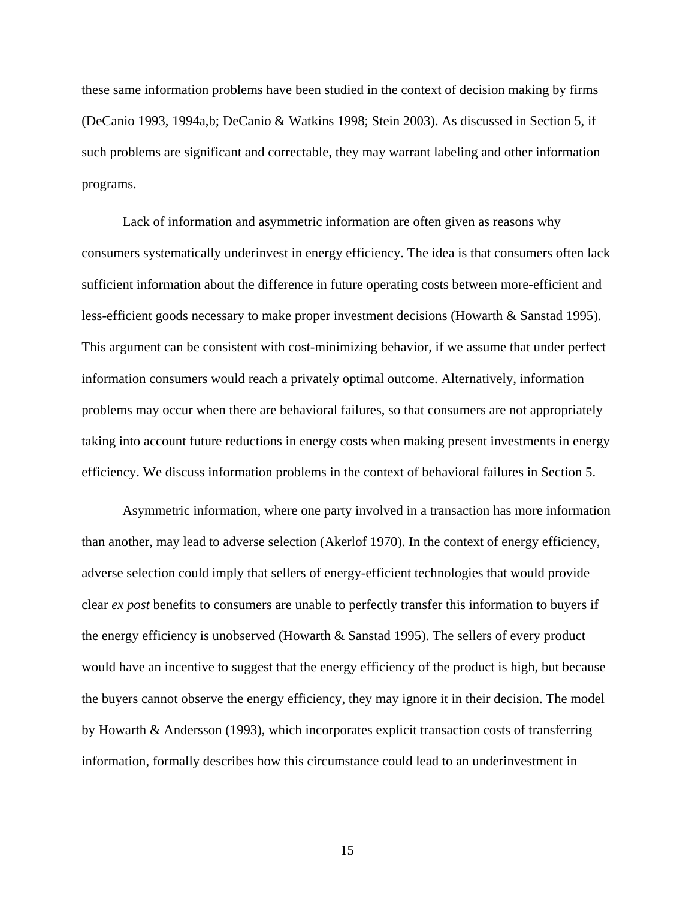these same information problems have been studied in the context of decision making by firms (DeCanio 1993, 1994a,b; DeCanio & Watkins 1998; Stein 2003). As discussed in Section 5, if such problems are significant and correctable, they may warrant labeling and other information programs.

Lack of information and asymmetric information are often given as reasons why consumers systematically underinvest in energy efficiency. The idea is that consumers often lack sufficient information about the difference in future operating costs between more-efficient and less-efficient goods necessary to make proper investment decisions (Howarth & Sanstad 1995). This argument can be consistent with cost-minimizing behavior, if we assume that under perfect information consumers would reach a privately optimal outcome. Alternatively, information problems may occur when there are behavioral failures, so that consumers are not appropriately taking into account future reductions in energy costs when making present investments in energy efficiency. We discuss information problems in the context of behavioral failures in Section 5.

Asymmetric information, where one party involved in a transaction has more information than another, may lead to adverse selection (Akerlof 1970). In the context of energy efficiency, adverse selection could imply that sellers of energy-efficient technologies that would provide clear *ex post* benefits to consumers are unable to perfectly transfer this information to buyers if the energy efficiency is unobserved (Howarth & Sanstad 1995). The sellers of every product would have an incentive to suggest that the energy efficiency of the product is high, but because the buyers cannot observe the energy efficiency, they may ignore it in their decision. The model by Howarth & Andersson (1993), which incorporates explicit transaction costs of transferring information, formally describes how this circumstance could lead to an underinvestment in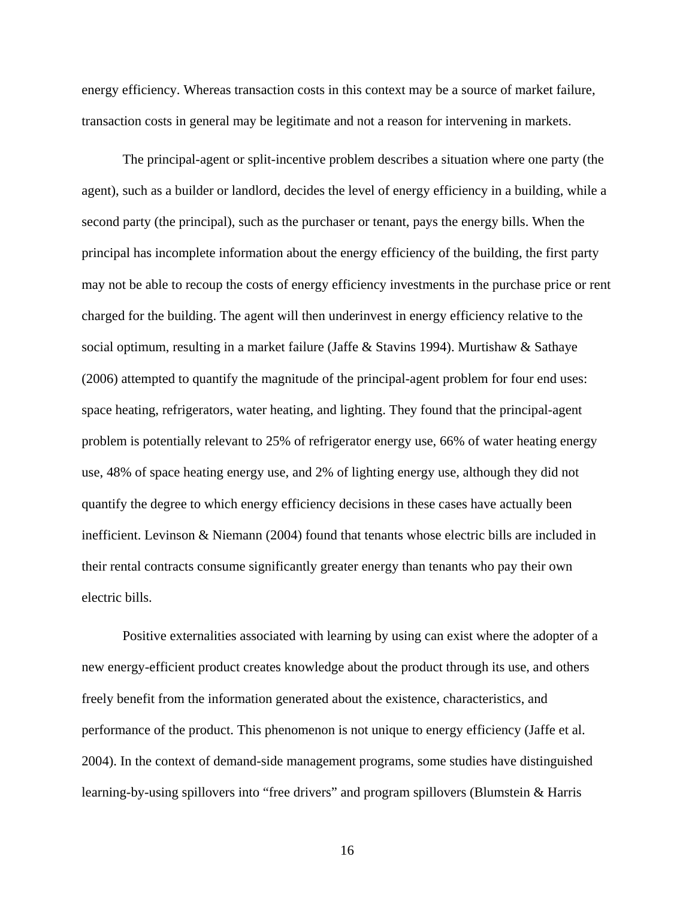energy efficiency. Whereas transaction costs in this context may be a source of market failure, transaction costs in general may be legitimate and not a reason for intervening in markets.

The principal-agent or split-incentive problem describes a situation where one party (the agent), such as a builder or landlord, decides the level of energy efficiency in a building, while a second party (the principal), such as the purchaser or tenant, pays the energy bills. When the principal has incomplete information about the energy efficiency of the building, the first party may not be able to recoup the costs of energy efficiency investments in the purchase price or rent charged for the building. The agent will then underinvest in energy efficiency relative to the social optimum, resulting in a market failure (Jaffe & Stavins 1994). Murtishaw & Sathaye (2006) attempted to quantify the magnitude of the principal-agent problem for four end uses: space heating, refrigerators, water heating, and lighting. They found that the principal-agent problem is potentially relevant to 25% of refrigerator energy use, 66% of water heating energy use, 48% of space heating energy use, and 2% of lighting energy use, although they did not quantify the degree to which energy efficiency decisions in these cases have actually been inefficient. Levinson & Niemann (2004) found that tenants whose electric bills are included in their rental contracts consume significantly greater energy than tenants who pay their own electric bills.

Positive externalities associated with learning by using can exist where the adopter of a new energy-efficient product creates knowledge about the product through its use, and others freely benefit from the information generated about the existence, characteristics, and performance of the product. This phenomenon is not unique to energy efficiency (Jaffe et al. 2004). In the context of demand-side management programs, some studies have distinguished learning-by-using spillovers into "free drivers" and program spillovers (Blumstein & Harris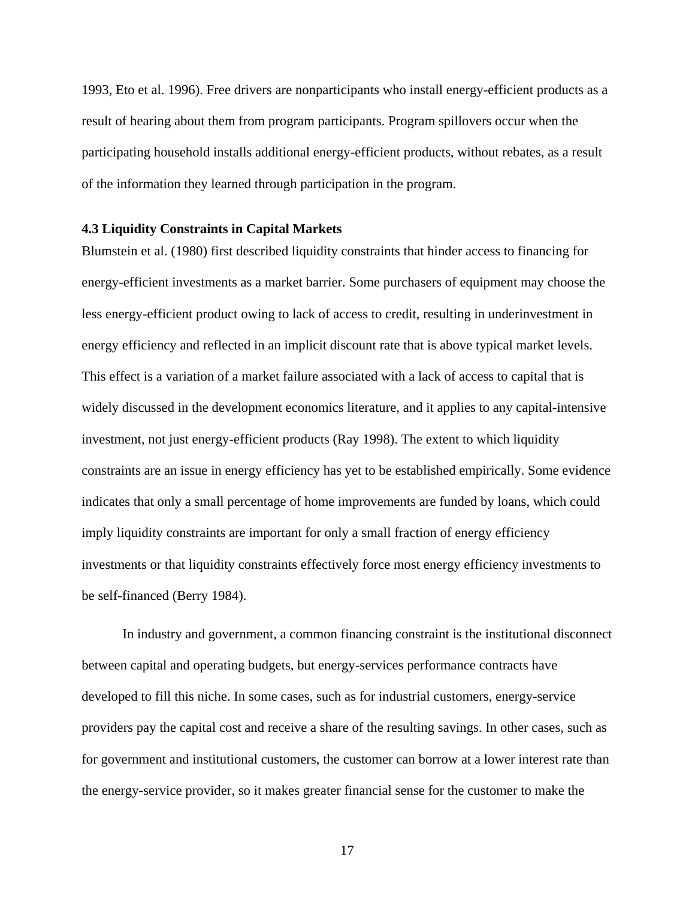1993, Eto et al. 1996). Free drivers are nonparticipants who install energy-efficient products as a result of hearing about them from program participants. Program spillovers occur when the participating household installs additional energy-efficient products, without rebates, as a result of the information they learned through participation in the program.

#### **4.3 Liquidity Constraints in Capital Markets**

Blumstein et al. (1980) first described liquidity constraints that hinder access to financing for energy-efficient investments as a market barrier. Some purchasers of equipment may choose the less energy-efficient product owing to lack of access to credit, resulting in underinvestment in energy efficiency and reflected in an implicit discount rate that is above typical market levels. This effect is a variation of a market failure associated with a lack of access to capital that is widely discussed in the development economics literature, and it applies to any capital-intensive investment, not just energy-efficient products (Ray 1998). The extent to which liquidity constraints are an issue in energy efficiency has yet to be established empirically. Some evidence indicates that only a small percentage of home improvements are funded by loans, which could imply liquidity constraints are important for only a small fraction of energy efficiency investments or that liquidity constraints effectively force most energy efficiency investments to be self-financed (Berry 1984).

In industry and government, a common financing constraint is the institutional disconnect between capital and operating budgets, but energy-services performance contracts have developed to fill this niche. In some cases, such as for industrial customers, energy-service providers pay the capital cost and receive a share of the resulting savings. In other cases, such as for government and institutional customers, the customer can borrow at a lower interest rate than the energy-service provider, so it makes greater financial sense for the customer to make the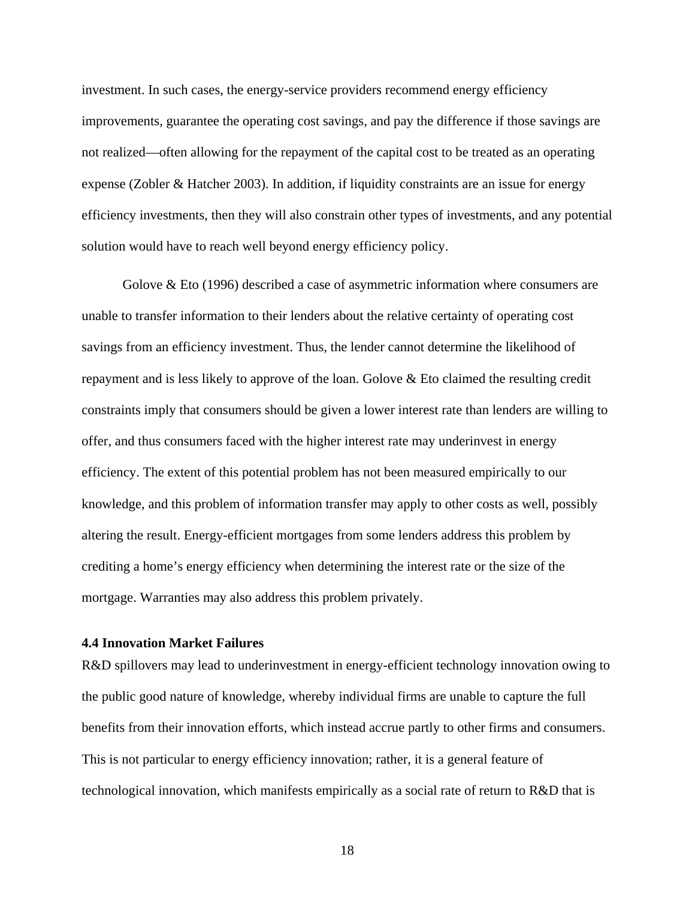investment. In such cases, the energy-service providers recommend energy efficiency improvements, guarantee the operating cost savings, and pay the difference if those savings are not realized—often allowing for the repayment of the capital cost to be treated as an operating expense (Zobler & Hatcher 2003). In addition, if liquidity constraints are an issue for energy efficiency investments, then they will also constrain other types of investments, and any potential solution would have to reach well beyond energy efficiency policy.

Golove & Eto (1996) described a case of asymmetric information where consumers are unable to transfer information to their lenders about the relative certainty of operating cost savings from an efficiency investment. Thus, the lender cannot determine the likelihood of repayment and is less likely to approve of the loan. Golove & Eto claimed the resulting credit constraints imply that consumers should be given a lower interest rate than lenders are willing to offer, and thus consumers faced with the higher interest rate may underinvest in energy efficiency. The extent of this potential problem has not been measured empirically to our knowledge, and this problem of information transfer may apply to other costs as well, possibly altering the result. Energy-efficient mortgages from some lenders address this problem by crediting a home's energy efficiency when determining the interest rate or the size of the mortgage. Warranties may also address this problem privately.

#### **4.4 Innovation Market Failures**

R&D spillovers may lead to underinvestment in energy-efficient technology innovation owing to the public good nature of knowledge, whereby individual firms are unable to capture the full benefits from their innovation efforts, which instead accrue partly to other firms and consumers. This is not particular to energy efficiency innovation; rather, it is a general feature of technological innovation, which manifests empirically as a social rate of return to R&D that is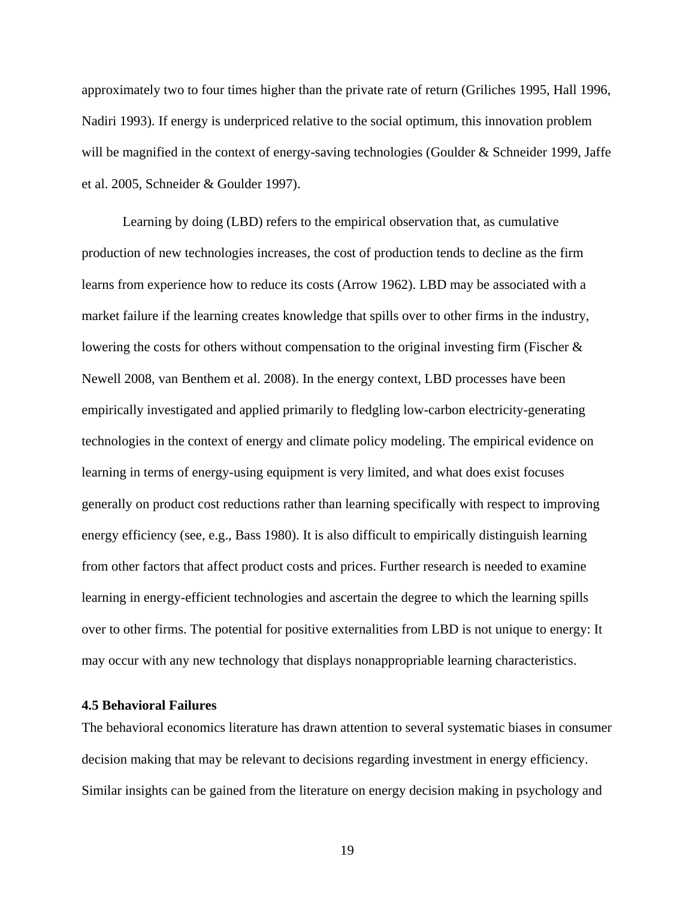approximately two to four times higher than the private rate of return (Griliches 1995, Hall 1996, Nadiri 1993). If energy is underpriced relative to the social optimum, this innovation problem will be magnified in the context of energy-saving technologies (Goulder & Schneider 1999, Jaffe et al. 2005, Schneider & Goulder 1997).

Learning by doing (LBD) refers to the empirical observation that, as cumulative production of new technologies increases, the cost of production tends to decline as the firm learns from experience how to reduce its costs (Arrow 1962). LBD may be associated with a market failure if the learning creates knowledge that spills over to other firms in the industry, lowering the costs for others without compensation to the original investing firm (Fischer & Newell 2008, van Benthem et al. 2008). In the energy context, LBD processes have been empirically investigated and applied primarily to fledgling low-carbon electricity-generating technologies in the context of energy and climate policy modeling. The empirical evidence on learning in terms of energy-using equipment is very limited, and what does exist focuses generally on product cost reductions rather than learning specifically with respect to improving energy efficiency (see, e.g., Bass 1980). It is also difficult to empirically distinguish learning from other factors that affect product costs and prices. Further research is needed to examine learning in energy-efficient technologies and ascertain the degree to which the learning spills over to other firms. The potential for positive externalities from LBD is not unique to energy: It may occur with any new technology that displays nonappropriable learning characteristics.

# **4.5 Behavioral Failures**

The behavioral economics literature has drawn attention to several systematic biases in consumer decision making that may be relevant to decisions regarding investment in energy efficiency. Similar insights can be gained from the literature on energy decision making in psychology and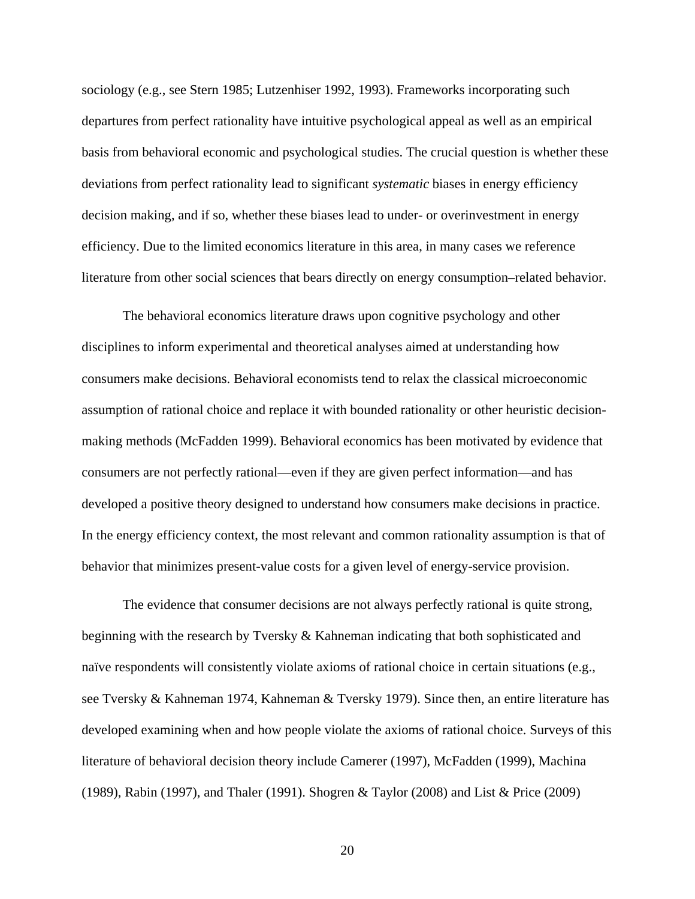sociology (e.g., see Stern 1985; Lutzenhiser 1992, 1993). Frameworks incorporating such departures from perfect rationality have intuitive psychological appeal as well as an empirical basis from behavioral economic and psychological studies. The crucial question is whether these deviations from perfect rationality lead to significant *systematic* biases in energy efficiency decision making, and if so, whether these biases lead to under- or overinvestment in energy efficiency. Due to the limited economics literature in this area, in many cases we reference literature from other social sciences that bears directly on energy consumption–related behavior.

The behavioral economics literature draws upon cognitive psychology and other disciplines to inform experimental and theoretical analyses aimed at understanding how consumers make decisions. Behavioral economists tend to relax the classical microeconomic assumption of rational choice and replace it with bounded rationality or other heuristic decisionmaking methods (McFadden 1999). Behavioral economics has been motivated by evidence that consumers are not perfectly rational—even if they are given perfect information—and has developed a positive theory designed to understand how consumers make decisions in practice. In the energy efficiency context, the most relevant and common rationality assumption is that of behavior that minimizes present-value costs for a given level of energy-service provision.

The evidence that consumer decisions are not always perfectly rational is quite strong, beginning with the research by Tversky & Kahneman indicating that both sophisticated and naïve respondents will consistently violate axioms of rational choice in certain situations (e.g., see Tversky & Kahneman 1974, Kahneman & Tversky 1979). Since then, an entire literature has developed examining when and how people violate the axioms of rational choice. Surveys of this literature of behavioral decision theory include Camerer (1997), McFadden (1999), Machina (1989), Rabin (1997), and Thaler (1991). Shogren & Taylor (2008) and List & Price (2009)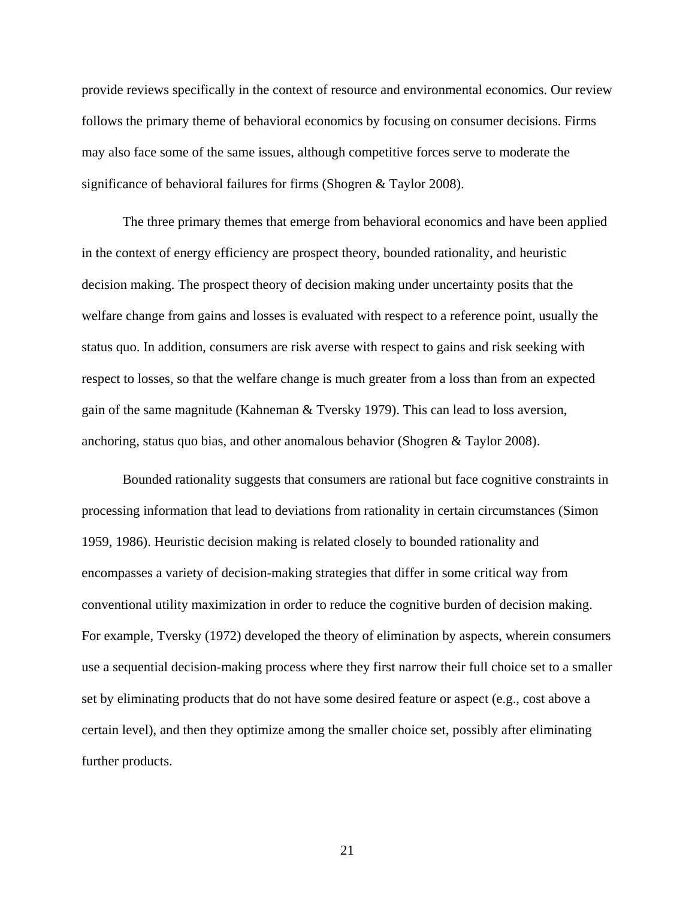provide reviews specifically in the context of resource and environmental economics. Our review follows the primary theme of behavioral economics by focusing on consumer decisions. Firms may also face some of the same issues, although competitive forces serve to moderate the significance of behavioral failures for firms (Shogren & Taylor 2008).

The three primary themes that emerge from behavioral economics and have been applied in the context of energy efficiency are prospect theory, bounded rationality, and heuristic decision making. The prospect theory of decision making under uncertainty posits that the welfare change from gains and losses is evaluated with respect to a reference point, usually the status quo. In addition, consumers are risk averse with respect to gains and risk seeking with respect to losses, so that the welfare change is much greater from a loss than from an expected gain of the same magnitude (Kahneman & Tversky 1979). This can lead to loss aversion, anchoring, status quo bias, and other anomalous behavior (Shogren & Taylor 2008).

Bounded rationality suggests that consumers are rational but face cognitive constraints in processing information that lead to deviations from rationality in certain circumstances (Simon 1959, 1986). Heuristic decision making is related closely to bounded rationality and encompasses a variety of decision-making strategies that differ in some critical way from conventional utility maximization in order to reduce the cognitive burden of decision making. For example, Tversky (1972) developed the theory of elimination by aspects, wherein consumers use a sequential decision-making process where they first narrow their full choice set to a smaller set by eliminating products that do not have some desired feature or aspect (e.g., cost above a certain level), and then they optimize among the smaller choice set, possibly after eliminating further products.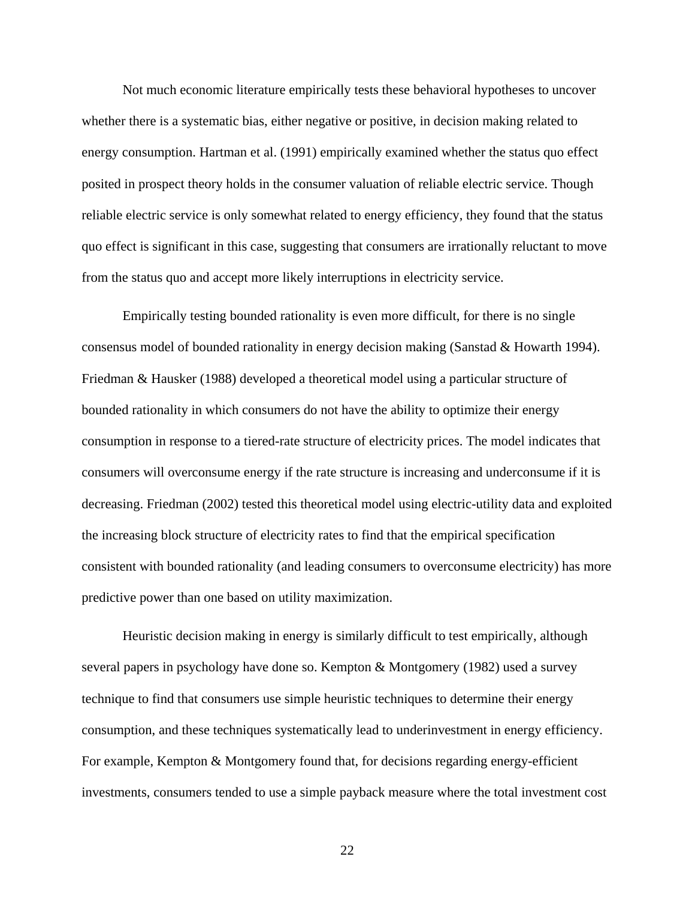Not much economic literature empirically tests these behavioral hypotheses to uncover whether there is a systematic bias, either negative or positive, in decision making related to energy consumption. Hartman et al. (1991) empirically examined whether the status quo effect posited in prospect theory holds in the consumer valuation of reliable electric service. Though reliable electric service is only somewhat related to energy efficiency, they found that the status quo effect is significant in this case, suggesting that consumers are irrationally reluctant to move from the status quo and accept more likely interruptions in electricity service.

Empirically testing bounded rationality is even more difficult, for there is no single consensus model of bounded rationality in energy decision making (Sanstad & Howarth 1994). Friedman & Hausker (1988) developed a theoretical model using a particular structure of bounded rationality in which consumers do not have the ability to optimize their energy consumption in response to a tiered-rate structure of electricity prices. The model indicates that consumers will overconsume energy if the rate structure is increasing and underconsume if it is decreasing. Friedman (2002) tested this theoretical model using electric-utility data and exploited the increasing block structure of electricity rates to find that the empirical specification consistent with bounded rationality (and leading consumers to overconsume electricity) has more predictive power than one based on utility maximization.

Heuristic decision making in energy is similarly difficult to test empirically, although several papers in psychology have done so. Kempton & Montgomery (1982) used a survey technique to find that consumers use simple heuristic techniques to determine their energy consumption, and these techniques systematically lead to underinvestment in energy efficiency. For example, Kempton & Montgomery found that, for decisions regarding energy-efficient investments, consumers tended to use a simple payback measure where the total investment cost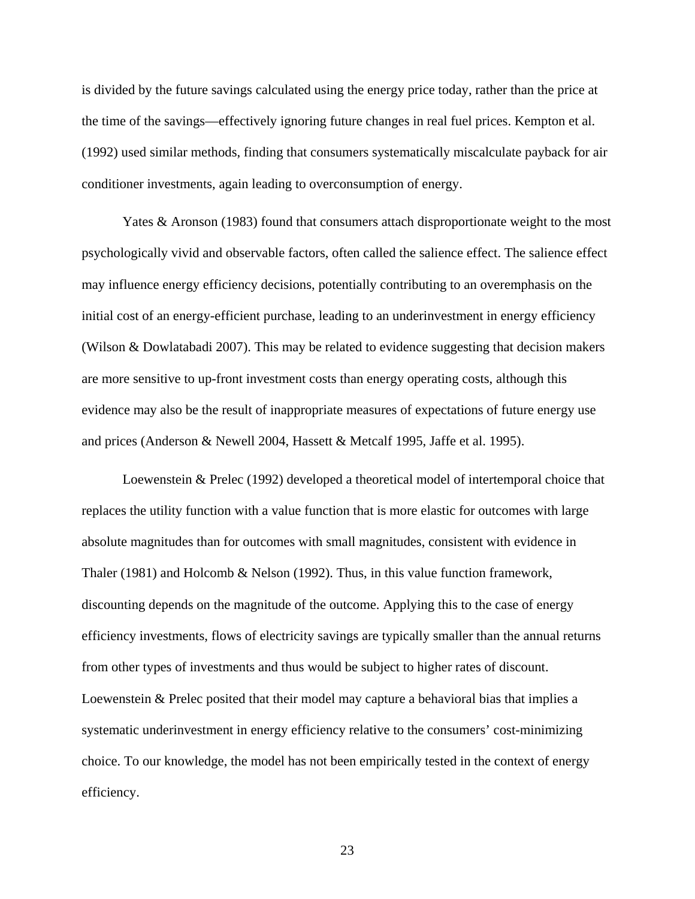is divided by the future savings calculated using the energy price today, rather than the price at the time of the savings—effectively ignoring future changes in real fuel prices. Kempton et al. (1992) used similar methods, finding that consumers systematically miscalculate payback for air conditioner investments, again leading to overconsumption of energy.

Yates & Aronson (1983) found that consumers attach disproportionate weight to the most psychologically vivid and observable factors, often called the salience effect. The salience effect may influence energy efficiency decisions, potentially contributing to an overemphasis on the initial cost of an energy-efficient purchase, leading to an underinvestment in energy efficiency (Wilson & Dowlatabadi 2007). This may be related to evidence suggesting that decision makers are more sensitive to up-front investment costs than energy operating costs, although this evidence may also be the result of inappropriate measures of expectations of future energy use and prices (Anderson & Newell 2004, Hassett & Metcalf 1995, Jaffe et al. 1995).

Loewenstein & Prelec (1992) developed a theoretical model of intertemporal choice that replaces the utility function with a value function that is more elastic for outcomes with large absolute magnitudes than for outcomes with small magnitudes, consistent with evidence in Thaler (1981) and Holcomb & Nelson (1992). Thus, in this value function framework, discounting depends on the magnitude of the outcome. Applying this to the case of energy efficiency investments, flows of electricity savings are typically smaller than the annual returns from other types of investments and thus would be subject to higher rates of discount. Loewenstein & Prelec posited that their model may capture a behavioral bias that implies a systematic underinvestment in energy efficiency relative to the consumers' cost-minimizing choice. To our knowledge, the model has not been empirically tested in the context of energy efficiency.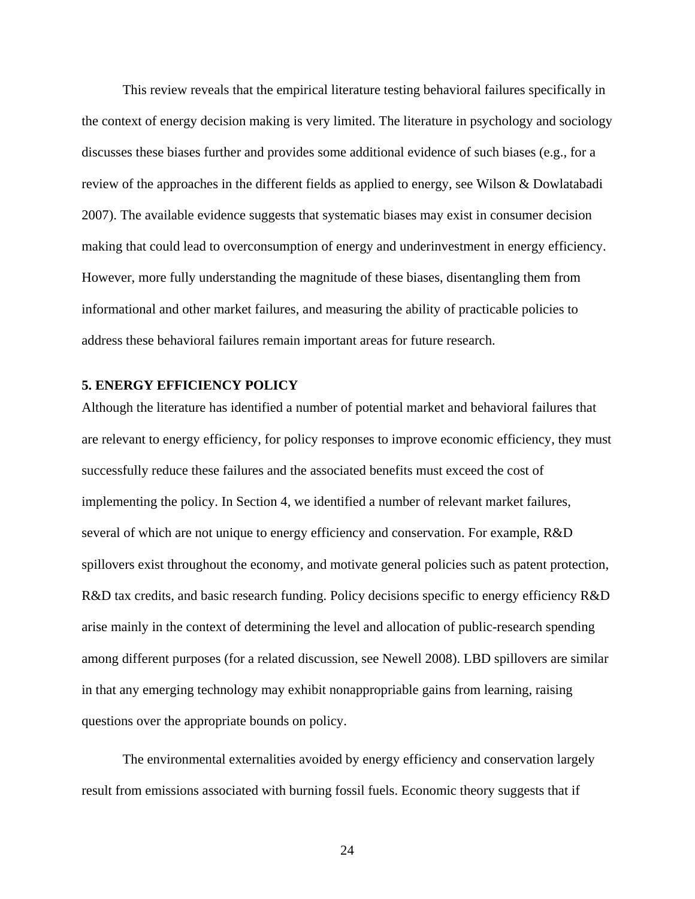This review reveals that the empirical literature testing behavioral failures specifically in the context of energy decision making is very limited. The literature in psychology and sociology discusses these biases further and provides some additional evidence of such biases (e.g., for a review of the approaches in the different fields as applied to energy, see Wilson & Dowlatabadi 2007). The available evidence suggests that systematic biases may exist in consumer decision making that could lead to overconsumption of energy and underinvestment in energy efficiency. However, more fully understanding the magnitude of these biases, disentangling them from informational and other market failures, and measuring the ability of practicable policies to address these behavioral failures remain important areas for future research.

### **5. ENERGY EFFICIENCY POLICY**

Although the literature has identified a number of potential market and behavioral failures that are relevant to energy efficiency, for policy responses to improve economic efficiency, they must successfully reduce these failures and the associated benefits must exceed the cost of implementing the policy. In Section 4, we identified a number of relevant market failures, several of which are not unique to energy efficiency and conservation. For example, R&D spillovers exist throughout the economy, and motivate general policies such as patent protection, R&D tax credits, and basic research funding. Policy decisions specific to energy efficiency R&D arise mainly in the context of determining the level and allocation of public-research spending among different purposes (for a related discussion, see Newell 2008). LBD spillovers are similar in that any emerging technology may exhibit nonappropriable gains from learning, raising questions over the appropriate bounds on policy.

The environmental externalities avoided by energy efficiency and conservation largely result from emissions associated with burning fossil fuels. Economic theory suggests that if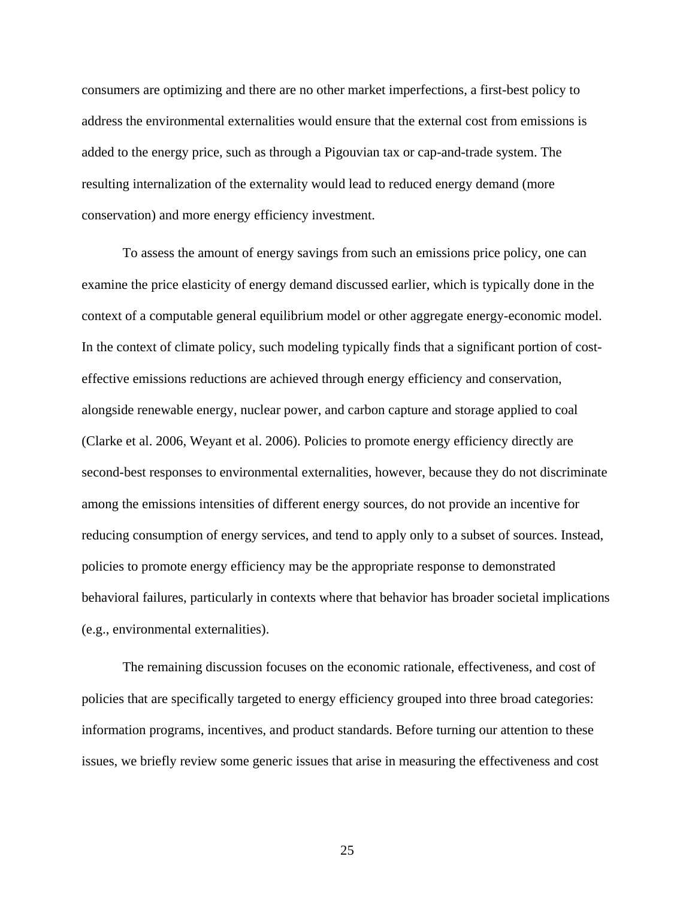consumers are optimizing and there are no other market imperfections, a first-best policy to address the environmental externalities would ensure that the external cost from emissions is added to the energy price, such as through a Pigouvian tax or cap-and-trade system. The resulting internalization of the externality would lead to reduced energy demand (more conservation) and more energy efficiency investment.

To assess the amount of energy savings from such an emissions price policy, one can examine the price elasticity of energy demand discussed earlier, which is typically done in the context of a computable general equilibrium model or other aggregate energy-economic model. In the context of climate policy, such modeling typically finds that a significant portion of costeffective emissions reductions are achieved through energy efficiency and conservation, alongside renewable energy, nuclear power, and carbon capture and storage applied to coal (Clarke et al. 2006, Weyant et al. 2006). Policies to promote energy efficiency directly are second-best responses to environmental externalities, however, because they do not discriminate among the emissions intensities of different energy sources, do not provide an incentive for reducing consumption of energy services, and tend to apply only to a subset of sources. Instead, policies to promote energy efficiency may be the appropriate response to demonstrated behavioral failures, particularly in contexts where that behavior has broader societal implications (e.g., environmental externalities).

The remaining discussion focuses on the economic rationale, effectiveness, and cost of policies that are specifically targeted to energy efficiency grouped into three broad categories: information programs, incentives, and product standards. Before turning our attention to these issues, we briefly review some generic issues that arise in measuring the effectiveness and cost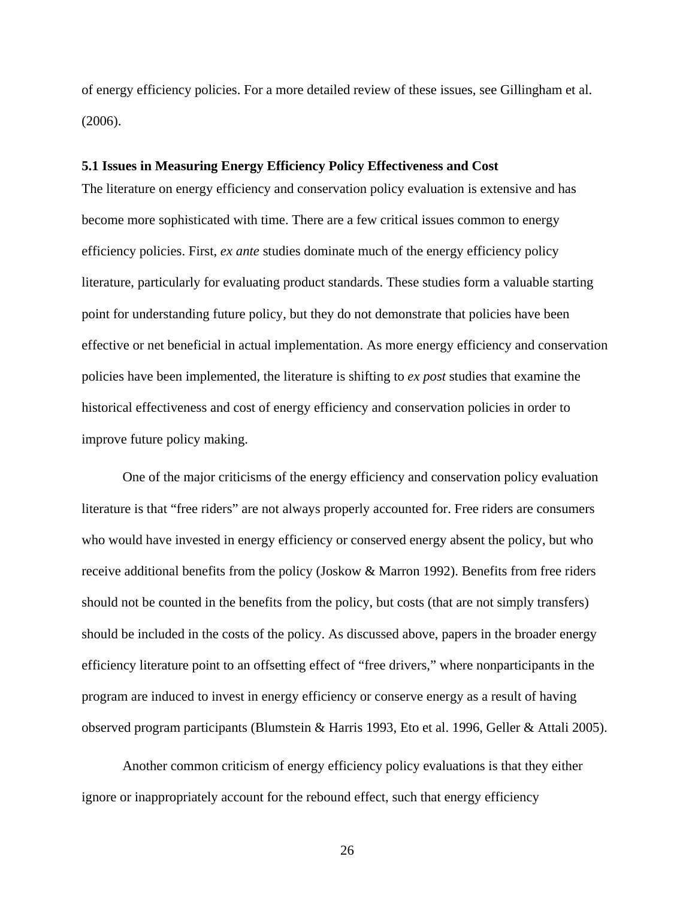of energy efficiency policies. For a more detailed review of these issues, see Gillingham et al. (2006).

#### **5.1 Issues in Measuring Energy Efficiency Policy Effectiveness and Cost**

The literature on energy efficiency and conservation policy evaluation is extensive and has become more sophisticated with time. There are a few critical issues common to energy efficiency policies. First, *ex ante* studies dominate much of the energy efficiency policy literature, particularly for evaluating product standards. These studies form a valuable starting point for understanding future policy, but they do not demonstrate that policies have been effective or net beneficial in actual implementation. As more energy efficiency and conservation policies have been implemented, the literature is shifting to *ex post* studies that examine the historical effectiveness and cost of energy efficiency and conservation policies in order to improve future policy making.

One of the major criticisms of the energy efficiency and conservation policy evaluation literature is that "free riders" are not always properly accounted for. Free riders are consumers who would have invested in energy efficiency or conserved energy absent the policy, but who receive additional benefits from the policy (Joskow & Marron 1992). Benefits from free riders should not be counted in the benefits from the policy, but costs (that are not simply transfers) should be included in the costs of the policy. As discussed above, papers in the broader energy efficiency literature point to an offsetting effect of "free drivers," where nonparticipants in the program are induced to invest in energy efficiency or conserve energy as a result of having observed program participants (Blumstein & Harris 1993, Eto et al. 1996, Geller & Attali 2005).

Another common criticism of energy efficiency policy evaluations is that they either ignore or inappropriately account for the rebound effect, such that energy efficiency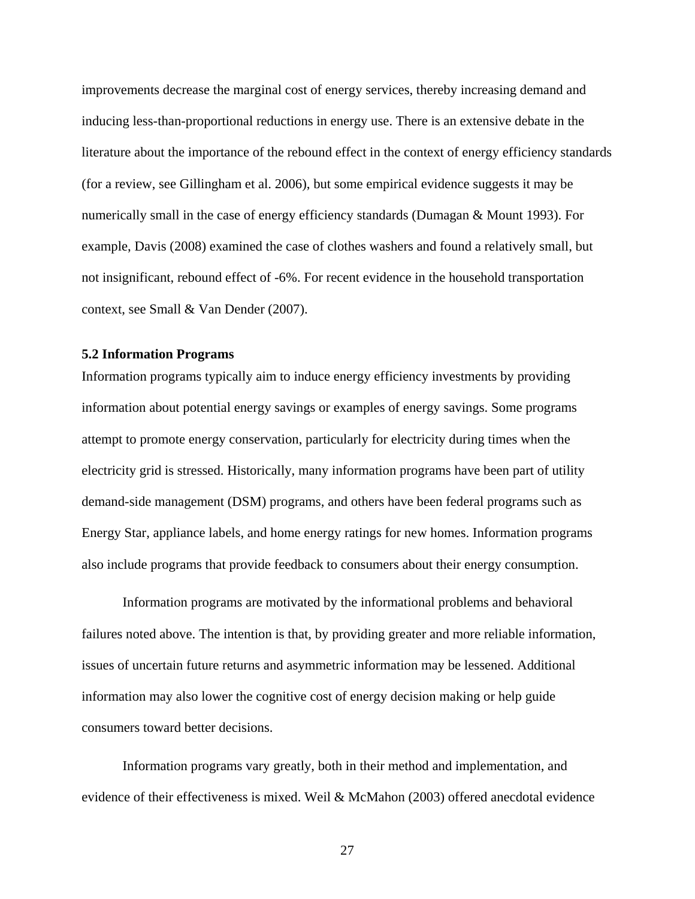improvements decrease the marginal cost of energy services, thereby increasing demand and inducing less-than-proportional reductions in energy use. There is an extensive debate in the literature about the importance of the rebound effect in the context of energy efficiency standards (for a review, see Gillingham et al. 2006), but some empirical evidence suggests it may be numerically small in the case of energy efficiency standards (Dumagan & Mount 1993). For example, Davis (2008) examined the case of clothes washers and found a relatively small, but not insignificant, rebound effect of -6%. For recent evidence in the household transportation context, see Small & Van Dender (2007).

#### **5.2 Information Programs**

Information programs typically aim to induce energy efficiency investments by providing information about potential energy savings or examples of energy savings. Some programs attempt to promote energy conservation, particularly for electricity during times when the electricity grid is stressed. Historically, many information programs have been part of utility demand-side management (DSM) programs, and others have been federal programs such as Energy Star, appliance labels, and home energy ratings for new homes. Information programs also include programs that provide feedback to consumers about their energy consumption.

Information programs are motivated by the informational problems and behavioral failures noted above. The intention is that, by providing greater and more reliable information, issues of uncertain future returns and asymmetric information may be lessened. Additional information may also lower the cognitive cost of energy decision making or help guide consumers toward better decisions.

Information programs vary greatly, both in their method and implementation, and evidence of their effectiveness is mixed. Weil & McMahon (2003) offered anecdotal evidence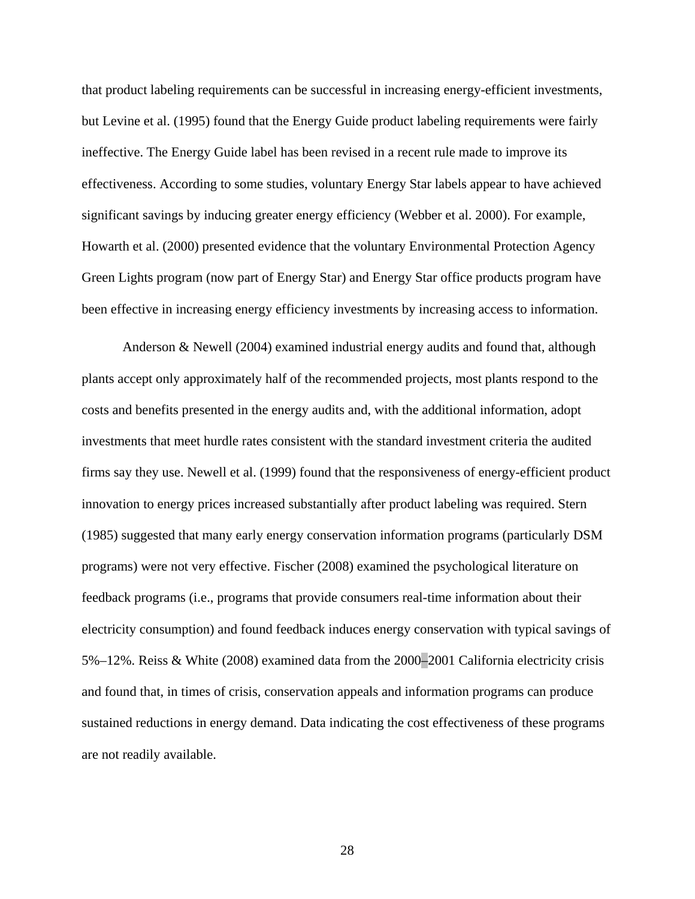that product labeling requirements can be successful in increasing energy-efficient investments, but Levine et al. (1995) found that the Energy Guide product labeling requirements were fairly ineffective. The Energy Guide label has been revised in a recent rule made to improve its effectiveness. According to some studies, voluntary Energy Star labels appear to have achieved significant savings by inducing greater energy efficiency (Webber et al. 2000). For example, Howarth et al. (2000) presented evidence that the voluntary Environmental Protection Agency Green Lights program (now part of Energy Star) and Energy Star office products program have been effective in increasing energy efficiency investments by increasing access to information.

Anderson & Newell (2004) examined industrial energy audits and found that, although plants accept only approximately half of the recommended projects, most plants respond to the costs and benefits presented in the energy audits and, with the additional information, adopt investments that meet hurdle rates consistent with the standard investment criteria the audited firms say they use. Newell et al. (1999) found that the responsiveness of energy-efficient product innovation to energy prices increased substantially after product labeling was required. Stern (1985) suggested that many early energy conservation information programs (particularly DSM programs) were not very effective. Fischer (2008) examined the psychological literature on feedback programs (i.e., programs that provide consumers real-time information about their electricity consumption) and found feedback induces energy conservation with typical savings of 5%–12%. Reiss & White (2008) examined data from the 2000–2001 California electricity crisis and found that, in times of crisis, conservation appeals and information programs can produce sustained reductions in energy demand. Data indicating the cost effectiveness of these programs are not readily available.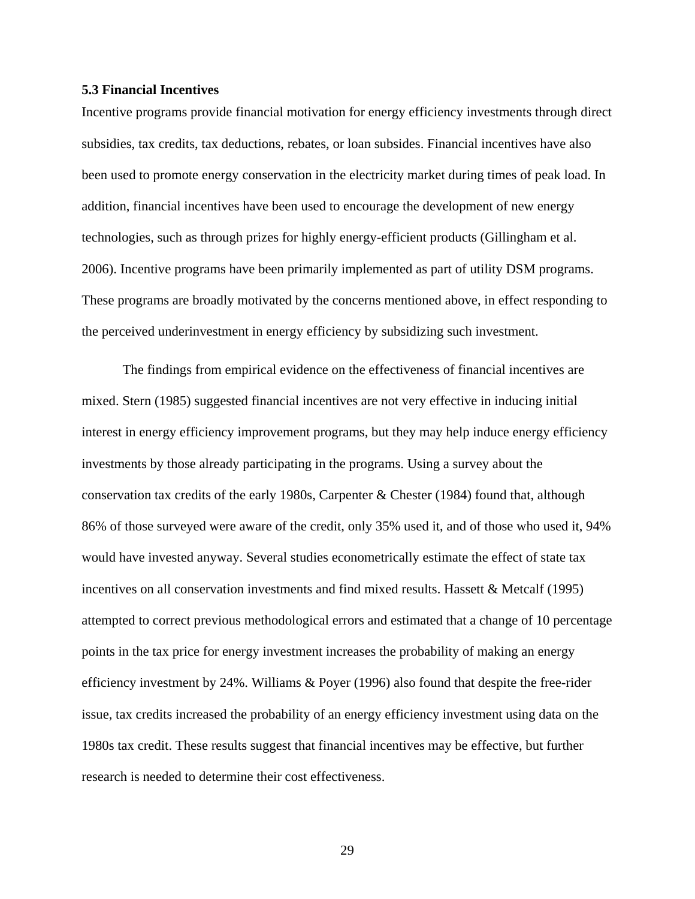# **5.3 Financial Incentives**

Incentive programs provide financial motivation for energy efficiency investments through direct subsidies, tax credits, tax deductions, rebates, or loan subsides. Financial incentives have also been used to promote energy conservation in the electricity market during times of peak load. In addition, financial incentives have been used to encourage the development of new energy technologies, such as through prizes for highly energy-efficient products (Gillingham et al. 2006). Incentive programs have been primarily implemented as part of utility DSM programs. These programs are broadly motivated by the concerns mentioned above, in effect responding to the perceived underinvestment in energy efficiency by subsidizing such investment.

The findings from empirical evidence on the effectiveness of financial incentives are mixed. Stern (1985) suggested financial incentives are not very effective in inducing initial interest in energy efficiency improvement programs, but they may help induce energy efficiency investments by those already participating in the programs. Using a survey about the conservation tax credits of the early 1980s, Carpenter & Chester (1984) found that, although 86% of those surveyed were aware of the credit, only 35% used it, and of those who used it, 94% would have invested anyway. Several studies econometrically estimate the effect of state tax incentives on all conservation investments and find mixed results. Hassett & Metcalf (1995) attempted to correct previous methodological errors and estimated that a change of 10 percentage points in the tax price for energy investment increases the probability of making an energy efficiency investment by 24%. Williams & Poyer (1996) also found that despite the free-rider issue, tax credits increased the probability of an energy efficiency investment using data on the 1980s tax credit. These results suggest that financial incentives may be effective, but further research is needed to determine their cost effectiveness.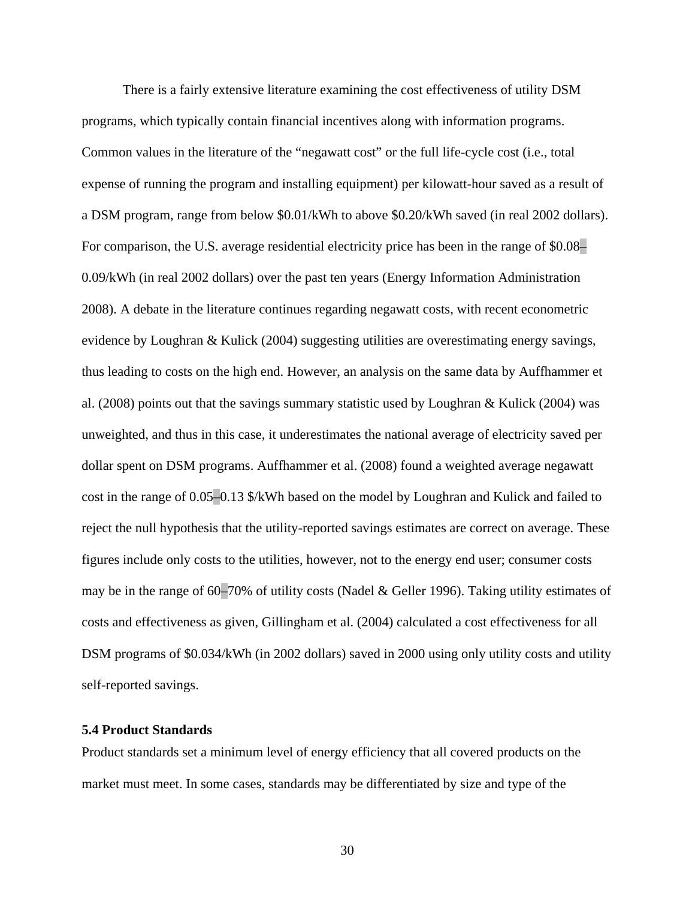There is a fairly extensive literature examining the cost effectiveness of utility DSM programs, which typically contain financial incentives along with information programs. Common values in the literature of the "negawatt cost" or the full life-cycle cost (i.e., total expense of running the program and installing equipment) per kilowatt-hour saved as a result of a DSM program, range from below \$0.01/kWh to above \$0.20/kWh saved (in real 2002 dollars). For comparison, the U.S. average residential electricity price has been in the range of \$0.08– 0.09/kWh (in real 2002 dollars) over the past ten years (Energy Information Administration 2008). A debate in the literature continues regarding negawatt costs, with recent econometric evidence by Loughran & Kulick (2004) suggesting utilities are overestimating energy savings, thus leading to costs on the high end. However, an analysis on the same data by Auffhammer et al. (2008) points out that the savings summary statistic used by Loughran & Kulick (2004) was unweighted, and thus in this case, it underestimates the national average of electricity saved per dollar spent on DSM programs. Auffhammer et al. (2008) found a weighted average negawatt cost in the range of 0.05–0.13 \$/kWh based on the model by Loughran and Kulick and failed to reject the null hypothesis that the utility-reported savings estimates are correct on average. These figures include only costs to the utilities, however, not to the energy end user; consumer costs may be in the range of 60–70% of utility costs (Nadel & Geller 1996). Taking utility estimates of costs and effectiveness as given, Gillingham et al. (2004) calculated a cost effectiveness for all DSM programs of \$0.034/kWh (in 2002 dollars) saved in 2000 using only utility costs and utility self-reported savings.

# **5.4 Product Standards**

Product standards set a minimum level of energy efficiency that all covered products on the market must meet. In some cases, standards may be differentiated by size and type of the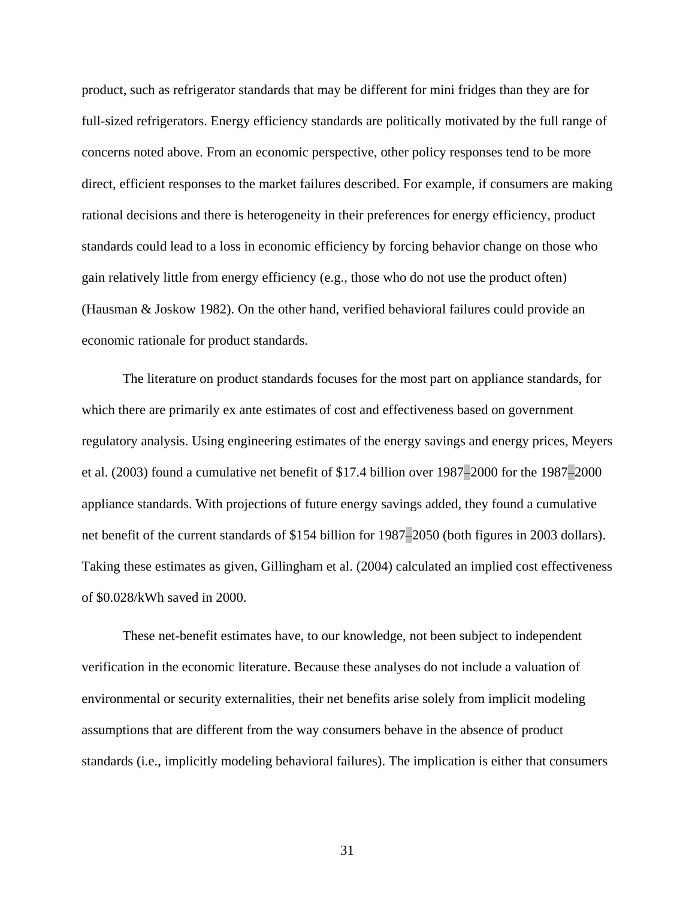product, such as refrigerator standards that may be different for mini fridges than they are for full-sized refrigerators. Energy efficiency standards are politically motivated by the full range of concerns noted above. From an economic perspective, other policy responses tend to be more direct, efficient responses to the market failures described. For example, if consumers are making rational decisions and there is heterogeneity in their preferences for energy efficiency, product standards could lead to a loss in economic efficiency by forcing behavior change on those who gain relatively little from energy efficiency (e.g., those who do not use the product often) (Hausman & Joskow 1982). On the other hand, verified behavioral failures could provide an economic rationale for product standards.

The literature on product standards focuses for the most part on appliance standards, for which there are primarily ex ante estimates of cost and effectiveness based on government regulatory analysis. Using engineering estimates of the energy savings and energy prices, Meyers et al. (2003) found a cumulative net benefit of \$17.4 billion over 1987–2000 for the 1987–2000 appliance standards. With projections of future energy savings added, they found a cumulative net benefit of the current standards of \$154 billion for 1987–2050 (both figures in 2003 dollars). Taking these estimates as given, Gillingham et al. (2004) calculated an implied cost effectiveness of \$0.028/kWh saved in 2000.

These net-benefit estimates have, to our knowledge, not been subject to independent verification in the economic literature. Because these analyses do not include a valuation of environmental or security externalities, their net benefits arise solely from implicit modeling assumptions that are different from the way consumers behave in the absence of product standards (i.e., implicitly modeling behavioral failures). The implication is either that consumers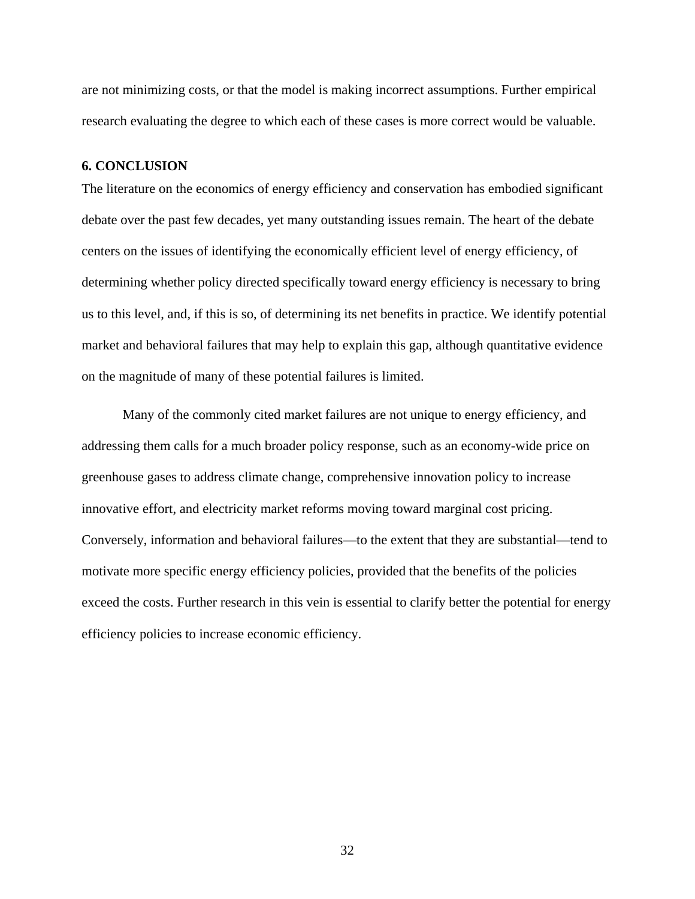are not minimizing costs, or that the model is making incorrect assumptions. Further empirical research evaluating the degree to which each of these cases is more correct would be valuable.

# **6. CONCLUSION**

The literature on the economics of energy efficiency and conservation has embodied significant debate over the past few decades, yet many outstanding issues remain. The heart of the debate centers on the issues of identifying the economically efficient level of energy efficiency, of determining whether policy directed specifically toward energy efficiency is necessary to bring us to this level, and, if this is so, of determining its net benefits in practice. We identify potential market and behavioral failures that may help to explain this gap, although quantitative evidence on the magnitude of many of these potential failures is limited.

Many of the commonly cited market failures are not unique to energy efficiency, and addressing them calls for a much broader policy response, such as an economy-wide price on greenhouse gases to address climate change, comprehensive innovation policy to increase innovative effort, and electricity market reforms moving toward marginal cost pricing. Conversely, information and behavioral failures—to the extent that they are substantial—tend to motivate more specific energy efficiency policies, provided that the benefits of the policies exceed the costs. Further research in this vein is essential to clarify better the potential for energy efficiency policies to increase economic efficiency.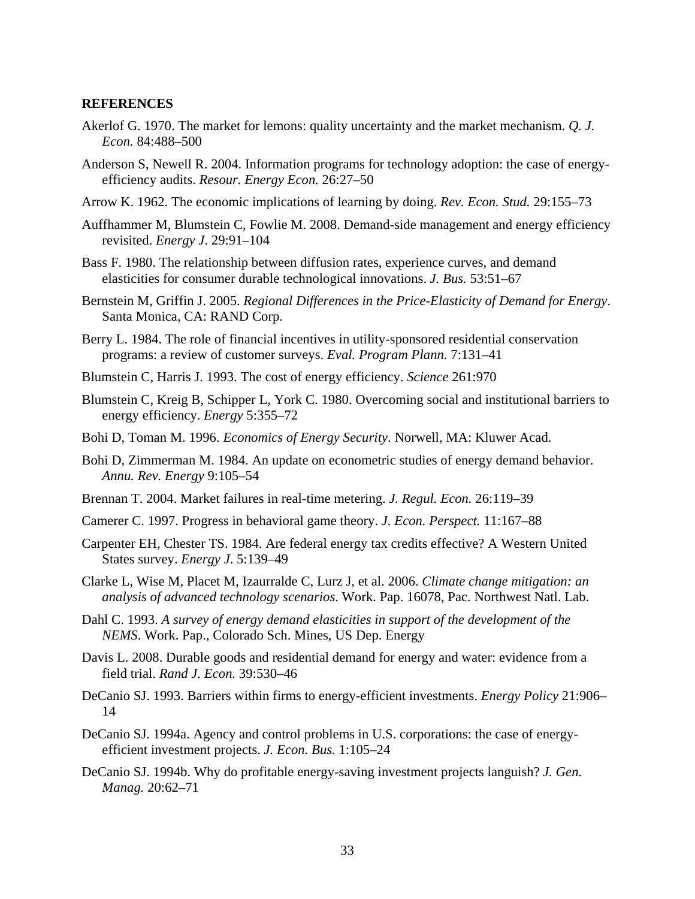#### **REFERENCES**

- Akerlof G. 1970. The market for lemons: quality uncertainty and the market mechanism. *Q. J. Econ.* 84:488–500
- Anderson S, Newell R. 2004. Information programs for technology adoption: the case of energyefficiency audits. *Resour. Energy Econ.* 26:27–50
- Arrow K. 1962. The economic implications of learning by doing. *Rev. Econ. Stud.* 29:155–73
- Auffhammer M, Blumstein C, Fowlie M. 2008. Demand-side management and energy efficiency revisited. *Energy J*. 29:91–104
- Bass F. 1980. The relationship between diffusion rates, experience curves, and demand elasticities for consumer durable technological innovations. *J. Bus.* 53:51–67
- Bernstein M, Griffin J. 2005. *Regional Differences in the Price-Elasticity of Demand for Energy*. Santa Monica, CA: RAND Corp.
- Berry L. 1984. The role of financial incentives in utility-sponsored residential conservation programs: a review of customer surveys. *Eval. Program Plann.* 7:131–41
- Blumstein C, Harris J. 1993. The cost of energy efficiency. *Science* 261:970
- Blumstein C, Kreig B, Schipper L, York C. 1980. Overcoming social and institutional barriers to energy efficiency. *Energy* 5:355–72
- Bohi D, Toman M. 1996. *Economics of Energy Security*. Norwell, MA: Kluwer Acad.
- Bohi D, Zimmerman M. 1984. An update on econometric studies of energy demand behavior. *Annu. Rev. Energy* 9:105–54
- Brennan T. 2004. Market failures in real-time metering. *J. Regul. Econ.* 26:119–39
- Camerer C. 1997. Progress in behavioral game theory. *J. Econ. Perspect.* 11:167–88
- Carpenter EH, Chester TS. 1984. Are federal energy tax credits effective? A Western United States survey. *Energy J*. 5:139–49
- Clarke L, Wise M, Placet M, Izaurralde C, Lurz J, et al. 2006. *Climate change mitigation: an analysis of advanced technology scenarios*. Work. Pap. 16078, Pac. Northwest Natl. Lab.
- Dahl C. 1993. *A survey of energy demand elasticities in support of the development of the NEMS*. Work. Pap., Colorado Sch. Mines, US Dep. Energy
- Davis L. 2008. Durable goods and residential demand for energy and water: evidence from a field trial. *Rand J. Econ.* 39:530–46
- DeCanio SJ. 1993. Barriers within firms to energy-efficient investments. *Energy Policy* 21:906– 14
- DeCanio SJ. 1994a. Agency and control problems in U.S. corporations: the case of energyefficient investment projects. *J. Econ. Bus.* 1:105–24
- DeCanio SJ. 1994b. Why do profitable energy-saving investment projects languish? *J. Gen. Manag.* 20:62–71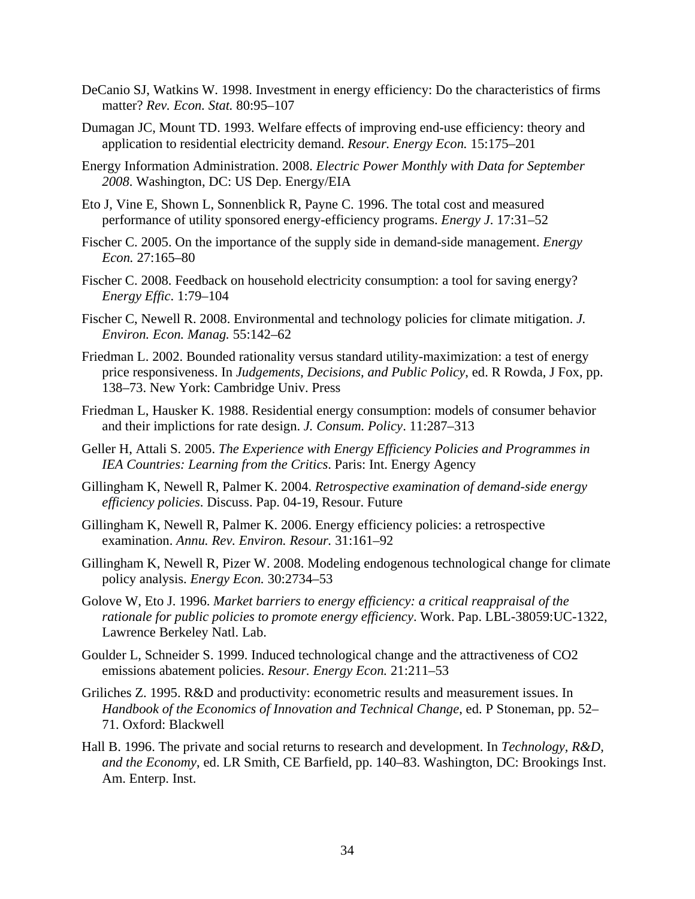- DeCanio SJ, Watkins W. 1998. Investment in energy efficiency: Do the characteristics of firms matter? *Rev. Econ. Stat.* 80:95–107
- Dumagan JC, Mount TD. 1993. Welfare effects of improving end-use efficiency: theory and application to residential electricity demand. *Resour. Energy Econ.* 15:175–201
- Energy Information Administration. 2008. *Electric Power Monthly with Data for September 2008*. Washington, DC: US Dep. Energy/EIA
- Eto J, Vine E, Shown L, Sonnenblick R, Payne C. 1996. The total cost and measured performance of utility sponsored energy-efficiency programs. *Energy J*. 17:31–52
- Fischer C. 2005. On the importance of the supply side in demand-side management. *Energy Econ.* 27:165–80
- Fischer C. 2008. Feedback on household electricity consumption: a tool for saving energy? *Energy Effic*. 1:79–104
- Fischer C, Newell R. 2008. Environmental and technology policies for climate mitigation. *J. Environ. Econ. Manag.* 55:142–62
- Friedman L. 2002. Bounded rationality versus standard utility-maximization: a test of energy price responsiveness. In *Judgements, Decisions, and Public Policy*, ed. R Rowda, J Fox, pp. 138–73. New York: Cambridge Univ. Press
- Friedman L, Hausker K. 1988. Residential energy consumption: models of consumer behavior and their implictions for rate design. *J. Consum. Policy*. 11:287–313
- Geller H, Attali S. 2005. *The Experience with Energy Efficiency Policies and Programmes in IEA Countries: Learning from the Critics*. Paris: Int. Energy Agency
- Gillingham K, Newell R, Palmer K. 2004. *Retrospective examination of demand-side energy efficiency policies*. Discuss. Pap. 04-19, Resour. Future
- Gillingham K, Newell R, Palmer K. 2006. Energy efficiency policies: a retrospective examination. *Annu. Rev. Environ. Resour.* 31:161–92
- Gillingham K, Newell R, Pizer W. 2008. Modeling endogenous technological change for climate policy analysis. *Energy Econ.* 30:2734–53
- Golove W, Eto J. 1996. *Market barriers to energy efficiency: a critical reappraisal of the rationale for public policies to promote energy efficiency*. Work. Pap. LBL-38059:UC-1322, Lawrence Berkeley Natl. Lab.
- Goulder L, Schneider S. 1999. Induced technological change and the attractiveness of CO2 emissions abatement policies. *Resour. Energy Econ.* 21:211–53
- Griliches Z. 1995. R&D and productivity: econometric results and measurement issues. In *Handbook of the Economics of Innovation and Technical Change*, ed. P Stoneman, pp. 52– 71. Oxford: Blackwell
- Hall B. 1996. The private and social returns to research and development. In *Technology, R&D, and the Economy*, ed. LR Smith, CE Barfield, pp. 140–83. Washington, DC: Brookings Inst. Am. Enterp. Inst.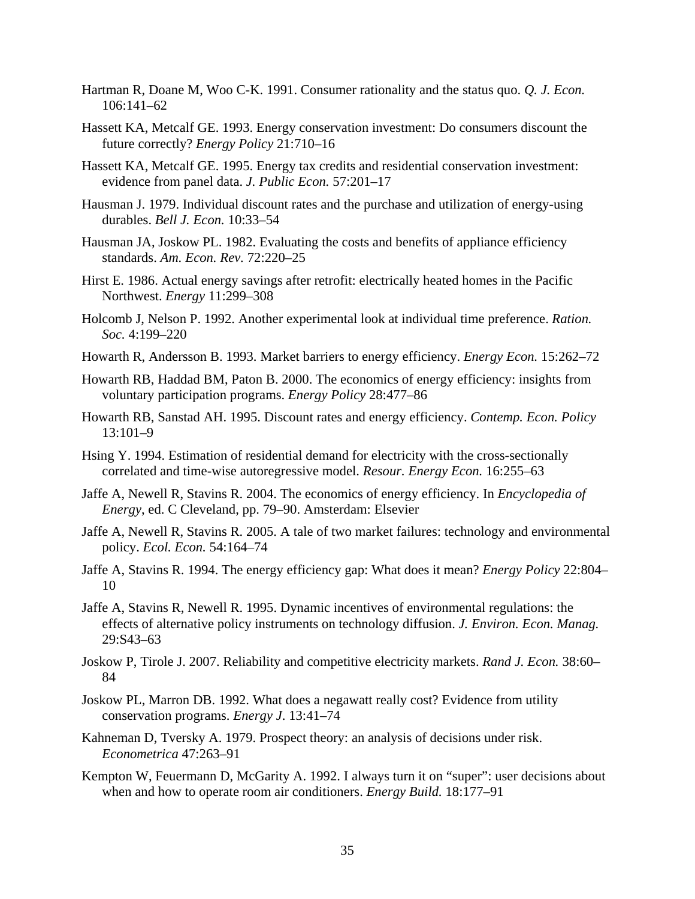- Hartman R, Doane M, Woo C-K. 1991. Consumer rationality and the status quo. *Q. J. Econ.* 106:141–62
- Hassett KA, Metcalf GE. 1993. Energy conservation investment: Do consumers discount the future correctly? *Energy Policy* 21:710–16
- Hassett KA, Metcalf GE. 1995. Energy tax credits and residential conservation investment: evidence from panel data. *J. Public Econ.* 57:201–17
- Hausman J. 1979. Individual discount rates and the purchase and utilization of energy-using durables. *Bell J. Econ.* 10:33–54
- Hausman JA, Joskow PL. 1982. Evaluating the costs and benefits of appliance efficiency standards. *Am. Econ. Rev.* 72:220–25
- Hirst E. 1986. Actual energy savings after retrofit: electrically heated homes in the Pacific Northwest. *Energy* 11:299–308
- Holcomb J, Nelson P. 1992. Another experimental look at individual time preference. *Ration. Soc.* 4:199–220
- Howarth R, Andersson B. 1993. Market barriers to energy efficiency. *Energy Econ.* 15:262–72
- Howarth RB, Haddad BM, Paton B. 2000. The economics of energy efficiency: insights from voluntary participation programs. *Energy Policy* 28:477–86
- Howarth RB, Sanstad AH. 1995. Discount rates and energy efficiency. *Contemp. Econ. Policy* 13:101–9
- Hsing Y. 1994. Estimation of residential demand for electricity with the cross-sectionally correlated and time-wise autoregressive model. *Resour. Energy Econ.* 16:255–63
- Jaffe A, Newell R, Stavins R. 2004. The economics of energy efficiency. In *Encyclopedia of Energy*, ed. C Cleveland, pp. 79–90. Amsterdam: Elsevier
- Jaffe A, Newell R, Stavins R. 2005. A tale of two market failures: technology and environmental policy. *Ecol. Econ.* 54:164–74
- Jaffe A, Stavins R. 1994. The energy efficiency gap: What does it mean? *Energy Policy* 22:804– 10
- Jaffe A, Stavins R, Newell R. 1995. Dynamic incentives of environmental regulations: the effects of alternative policy instruments on technology diffusion. *J. Environ. Econ. Manag.* 29:S43–63
- Joskow P, Tirole J. 2007. Reliability and competitive electricity markets. *Rand J. Econ.* 38:60– 84
- Joskow PL, Marron DB. 1992. What does a negawatt really cost? Evidence from utility conservation programs. *Energy J*. 13:41–74
- Kahneman D, Tversky A. 1979. Prospect theory: an analysis of decisions under risk. *Econometrica* 47:263–91
- Kempton W, Feuermann D, McGarity A. 1992. I always turn it on "super": user decisions about when and how to operate room air conditioners. *Energy Build.* 18:177–91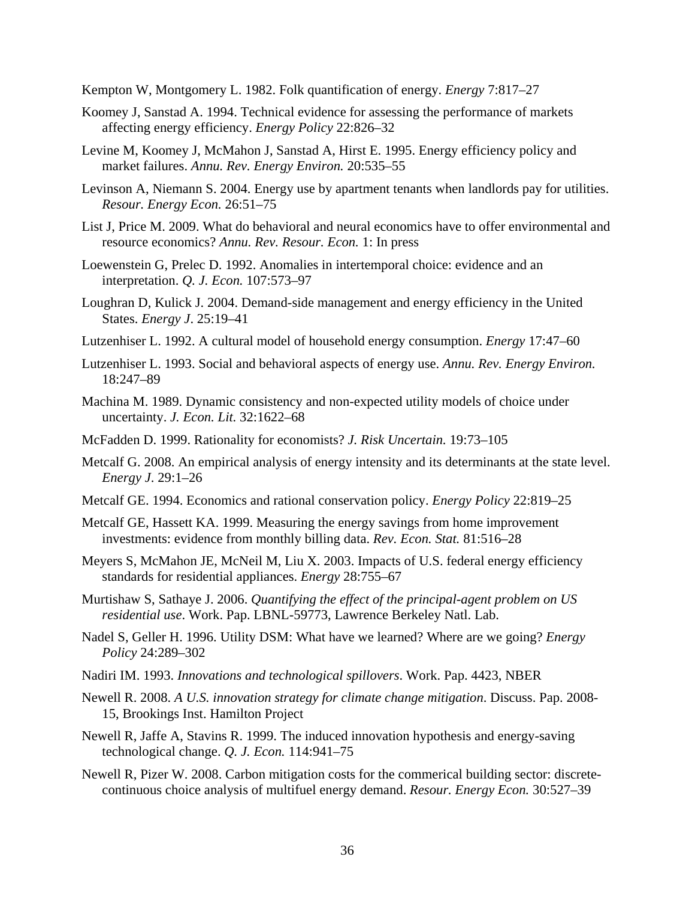Kempton W, Montgomery L. 1982. Folk quantification of energy. *Energy* 7:817–27

- Koomey J, Sanstad A. 1994. Technical evidence for assessing the performance of markets affecting energy efficiency. *Energy Policy* 22:826–32
- Levine M, Koomey J, McMahon J, Sanstad A, Hirst E. 1995. Energy efficiency policy and market failures. *Annu. Rev. Energy Environ.* 20:535–55
- Levinson A, Niemann S. 2004. Energy use by apartment tenants when landlords pay for utilities. *Resour. Energy Econ.* 26:51–75
- List J, Price M. 2009. What do behavioral and neural economics have to offer environmental and resource economics? *Annu. Rev. Resour. Econ.* 1: In press
- Loewenstein G, Prelec D. 1992. Anomalies in intertemporal choice: evidence and an interpretation. *Q. J. Econ.* 107:573–97
- Loughran D, Kulick J. 2004. Demand-side management and energy efficiency in the United States. *Energy J*. 25:19–41
- Lutzenhiser L. 1992. A cultural model of household energy consumption. *Energy* 17:47–60
- Lutzenhiser L. 1993. Social and behavioral aspects of energy use. *Annu. Rev. Energy Environ.* 18:247–89
- Machina M. 1989. Dynamic consistency and non-expected utility models of choice under uncertainty. *J. Econ. Lit.* 32:1622–68
- McFadden D. 1999. Rationality for economists? *J. Risk Uncertain.* 19:73–105
- Metcalf G. 2008. An empirical analysis of energy intensity and its determinants at the state level. *Energy J*. 29:1–26
- Metcalf GE. 1994. Economics and rational conservation policy. *Energy Policy* 22:819–25
- Metcalf GE, Hassett KA. 1999. Measuring the energy savings from home improvement investments: evidence from monthly billing data. *Rev. Econ. Stat.* 81:516–28
- Meyers S, McMahon JE, McNeil M, Liu X. 2003. Impacts of U.S. federal energy efficiency standards for residential appliances. *Energy* 28:755–67
- Murtishaw S, Sathaye J. 2006. *Quantifying the effect of the principal-agent problem on US residential use*. Work. Pap. LBNL-59773, Lawrence Berkeley Natl. Lab.
- Nadel S, Geller H. 1996. Utility DSM: What have we learned? Where are we going? *Energy Policy* 24:289–302
- Nadiri IM. 1993. *Innovations and technological spillovers*. Work. Pap. 4423, NBER
- Newell R. 2008. *A U.S. innovation strategy for climate change mitigation*. Discuss. Pap. 2008- 15, Brookings Inst. Hamilton Project
- Newell R, Jaffe A, Stavins R. 1999. The induced innovation hypothesis and energy-saving technological change. *Q. J. Econ.* 114:941–75
- Newell R, Pizer W. 2008. Carbon mitigation costs for the commerical building sector: discretecontinuous choice analysis of multifuel energy demand. *Resour. Energy Econ.* 30:527–39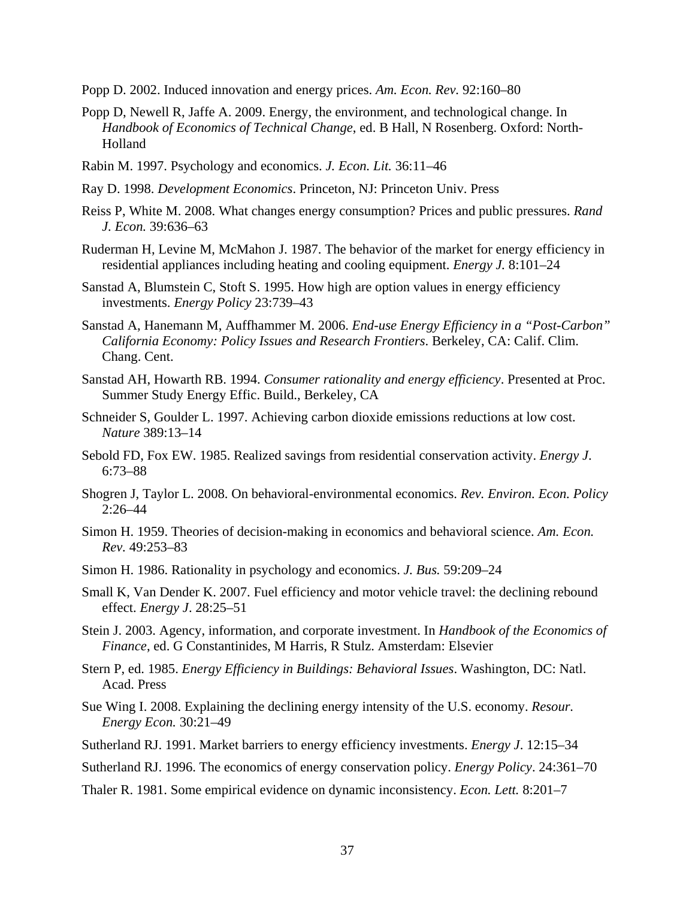- Popp D. 2002. Induced innovation and energy prices. *Am. Econ. Rev.* 92:160–80
- Popp D, Newell R, Jaffe A. 2009. Energy, the environment, and technological change. In *Handbook of Economics of Technical Change*, ed. B Hall, N Rosenberg. Oxford: North-Holland
- Rabin M. 1997. Psychology and economics. *J. Econ. Lit.* 36:11–46
- Ray D. 1998. *Development Economics*. Princeton, NJ: Princeton Univ. Press
- Reiss P, White M. 2008. What changes energy consumption? Prices and public pressures. *Rand J. Econ.* 39:636–63
- Ruderman H, Levine M, McMahon J. 1987. The behavior of the market for energy efficiency in residential appliances including heating and cooling equipment. *Energy J.* 8:101–24
- Sanstad A, Blumstein C, Stoft S. 1995. How high are option values in energy efficiency investments. *Energy Policy* 23:739–43
- Sanstad A, Hanemann M, Auffhammer M. 2006. *End-use Energy Efficiency in a "Post-Carbon" California Economy: Policy Issues and Research Frontiers*. Berkeley, CA: Calif. Clim. Chang. Cent.
- Sanstad AH, Howarth RB. 1994. *Consumer rationality and energy efficiency*. Presented at Proc. Summer Study Energy Effic. Build., Berkeley, CA
- Schneider S, Goulder L. 1997. Achieving carbon dioxide emissions reductions at low cost. *Nature* 389:13–14
- Sebold FD, Fox EW. 1985. Realized savings from residential conservation activity. *Energy J*. 6:73–88
- Shogren J, Taylor L. 2008. On behavioral-environmental economics. *Rev. Environ. Econ. Policy* 2:26–44
- Simon H. 1959. Theories of decision-making in economics and behavioral science. *Am. Econ. Rev.* 49:253–83
- Simon H. 1986. Rationality in psychology and economics. *J. Bus.* 59:209–24
- Small K, Van Dender K. 2007. Fuel efficiency and motor vehicle travel: the declining rebound effect. *Energy J*. 28:25–51
- Stein J. 2003. Agency, information, and corporate investment. In *Handbook of the Economics of Finance*, ed. G Constantinides, M Harris, R Stulz. Amsterdam: Elsevier
- Stern P, ed. 1985. *Energy Efficiency in Buildings: Behavioral Issues*. Washington, DC: Natl. Acad. Press
- Sue Wing I. 2008. Explaining the declining energy intensity of the U.S. economy. *Resour. Energy Econ.* 30:21–49
- Sutherland RJ. 1991. Market barriers to energy efficiency investments. *Energy J*. 12:15–34
- Sutherland RJ. 1996. The economics of energy conservation policy. *Energy Policy*. 24:361–70
- Thaler R. 1981. Some empirical evidence on dynamic inconsistency. *Econ. Lett.* 8:201–7